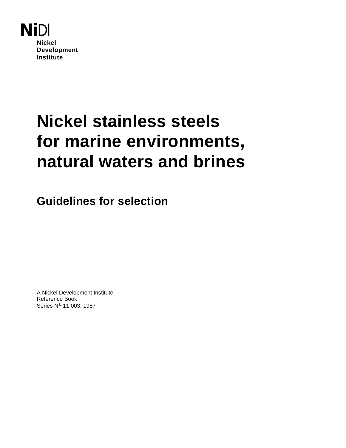

# **Nickel stainless steels for marine environments, natural waters and brines**

**Guidelines for selection**

A Nickel Development Institute Reference Book Series  $N^{\circ}$  11 003, 1987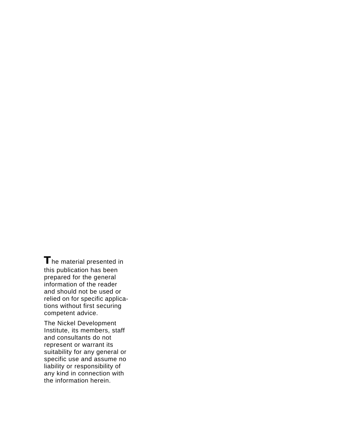**T**he material presented in this publication has been prepared for the general information of the reader and should not be used or relied on for specific applications without first securing competent advice.

The Nickel Development Institute, its members, staff and consultants do not represent or warrant its suitability for any general or specific use and assume no liability or responsibility of any kind in connection with the information herein.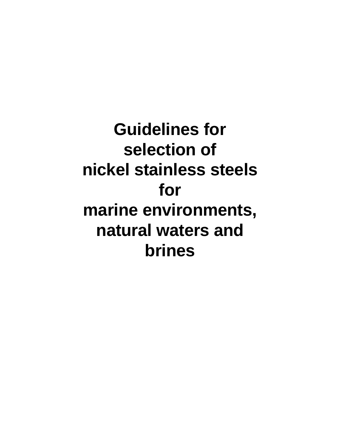**Guidelines for selection of nickel stainless steels for marine environments, natural waters and brines**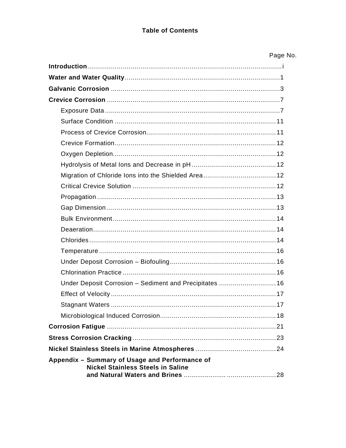#### **Table of Contents**

| Page No. |  |
|----------|--|
|----------|--|

| Under Deposit Corrosion - Sediment and Precipitates  16                                    |
|--------------------------------------------------------------------------------------------|
|                                                                                            |
|                                                                                            |
|                                                                                            |
|                                                                                            |
|                                                                                            |
|                                                                                            |
| Appendix - Summary of Usage and Performance of<br><b>Nickel Stainless Steels in Saline</b> |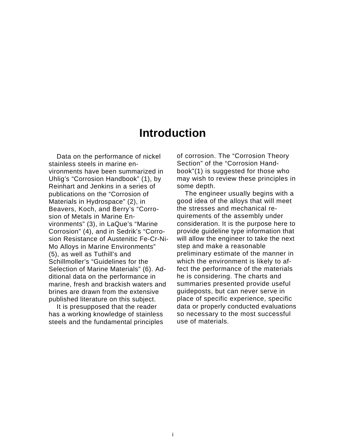### **Introduction**

Data on the performance of nickel stainless steels in marine environments have been summarized in Uhlig's "Corrosion Handbook" (1), by Reinhart and Jenkins in a series of publications on the "Corrosion of Materials in Hydrospace" (2), in Beavers, Koch, and Berry's "Corrosion of Metals in Marine Environments" (3), in LaQue's "Marine Corrosion" (4), and in Sedrik's "Corrosion Resistance of Austenitic Fe-Cr-Ni-Mo Alloys in Marine Environments" (5), as well as Tuthill's and Schillmoller's "Guidelines for the Selection of Marine Materials" (6). Additional data on the performance in marine, fresh and brackish waters and brines are drawn from the extensive published literature on this subject.

It is presupposed that the reader has a working knowledge of stainless steels and the fundamental principles of corrosion. The "Corrosion Theory Section" of the "Corrosion Handbook"(1) is suggested for those who may wish to review these principles in some depth.

The engineer usually begins with a good idea of the alloys that will meet the stresses and mechanical requirements of the assembly under consideration. It is the purpose here to provide guideline type information that will allow the engineer to take the next step and make a reasonable preliminary estimate of the manner in which the environment is likely to affect the performance of the materials he is considering. The charts and summaries presented provide useful guideposts, but can never serve in place of specific experience, specific data or properly conducted evaluations so necessary to the most successful use of materials.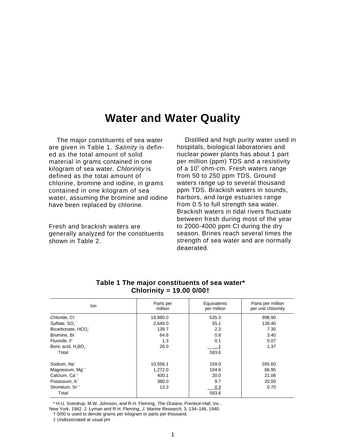### **Water and Water Quality**

The major constituents of sea water are given in Table 1. Salinity is defined as the total amount of solid material in grams contained in one kilogram of sea water. Chlorinity is defined as the total amount of chlorine, bromine and iodine, in grams contained in one kilogram of sea water, assuming the bromine and iodine have been replaced by chlorine.

Fresh and brackish waters are generally analyzed for the constituents shown in Table 2.

Distilled and high purity water used in hospitals, biological laboratories and nuclear power plants has about 1 part per million (ppm) TDS and a resistivity of a 10<sup>6</sup> ohm-cm. Fresh waters range from 50 to 250 ppm TDS. Ground waters range up to several thousand ppm TDS. Brackish waters in sounds, harbors, and large estuaries range from 0.5 to full strength sea water. Brackish waters in tidal rivers fluctuate between fresh during most of the year to 2000-4000 ppm CI during the dry season. Brines reach several times the strength of sea water and are normally deaerated.

| lon                                        | Parts per<br>million | Equivalents<br>per million | Parts per million<br>per unit chlorinity |
|--------------------------------------------|----------------------|----------------------------|------------------------------------------|
| Chloride, CI <sup>-</sup>                  | 18,980.0             | 535.3                      | 998.90                                   |
| Sulfate, SO <sub>.</sub> -                 | 2,649.0              | 55.1                       | 139.40                                   |
| Bicarbonate, HCO <sub>3</sub>              | 139.7                | 2.3                        | 7.35                                     |
| Bromine, Br <sup>-</sup>                   | 64.6                 | 0.8                        | 3.40                                     |
| Fluoride, F <sup>-</sup>                   | 1.3                  | 0.1                        | 0.07                                     |
| Boric acid, H <sub>2</sub> BO <sub>2</sub> | 26.0                 | …‡                         | 1.37                                     |
| Total                                      |                      | 593.6                      |                                          |
| Sodium, Na <sup>+</sup>                    | 10,556.1             | 159.0                      | 555.60                                   |
| Magnesium, Mg <sup>++</sup>                | 1,272.0              | 104.6                      | 66.95                                    |
| Calcium, Ca <sup>++</sup>                  | 400.1                | 20.0                       | 21.06                                    |
| Potassium, K <sup>+</sup>                  | 380.0                | 9.7                        | 20.00                                    |
| Strontium, Sr <sup>++</sup>                | 13.3                 | 0.3                        | 0.70                                     |
| Total                                      |                      | 593.6                      |                                          |

#### **Table 1 The major constituents of sea water\* Chlorinity = 19.00 0/00†**

\* H.U. Sverdrup, M.W. Johnson, and R.H. Fleming, The Oceans, Prentice-Hall, Inc..

New York, 1942. J. Lyman and R.H. Fleming, J. Marine Research, 3, 134–146, 1940.

† 0/00 is used to denote grams per kilogram or parts per thousand.

‡ Undissociated at usual pH.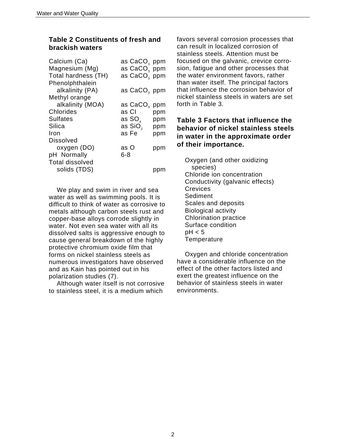#### **Table 2 Constituents of fresh and brackish waters**

| as CaCO <sub>3</sub> ppm |                                                      |
|--------------------------|------------------------------------------------------|
| as CaCO <sub>3</sub> ppm |                                                      |
|                          |                                                      |
|                          |                                                      |
| as CaCO <sub>3</sub>     | ppm                                                  |
| as Cl                    | ppm                                                  |
| as SO,                   | ppm                                                  |
| as SiO <sub>2</sub>      | ppm                                                  |
| as Fe                    | ppm                                                  |
|                          |                                                      |
| as O                     | ppm                                                  |
|                          |                                                      |
|                          |                                                      |
|                          |                                                      |
|                          | as CaCO <sub>3</sub> ppm<br>as CaCO <sub>3</sub> ppm |

We play and swim in river and sea water as well as swimming pools. It is difficult to think of water as corrosive to metals although carbon steels rust and copper-base alloys corrode slightly in water. Not even sea water with all its dissolved salts is aggressive enough to cause general breakdown of the highly protective chromium oxide film that forms on nickel stainless steels as numerous investigators have observed and as Kain has pointed out in his polarization studies (7).

Although water itself is not corrosive to stainless steel, it is a medium which

favors several corrosion processes that can result in localized corrosion of stainless steels. Attention must be focused on the galvanic, crevice corrosion, fatigue and other processes that the water environment favors, rather than water itself. The principal factors that influence the corrosion behavior of nickel stainless steels in waters are set forth in Table 3.

#### **Table 3 Factors that influence the behavior of nickel stainless steels in water in the approximate order of their importance.**

Oxygen (and other oxidizing species) Chloride ion concentration Conductivity (galvanic effects) Crevices Sediment Scales and deposits Biological activity Chlorination practice Surface condition  $pH < 5$ **Temperature** 

Oxygen and chloride concentration have a considerable influence on the effect of the other factors listed and exert the greatest influence on the behavior of stainless steels in water environments.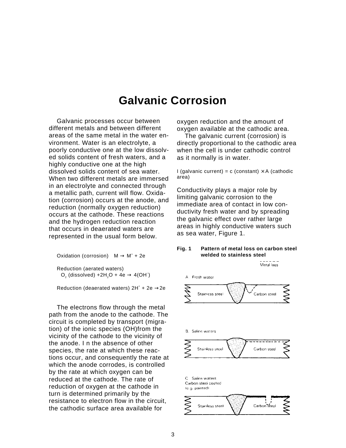## **Galvanic Corrosion**

Galvanic processes occur between different metals and between different areas of the same metal in the water environment. Water is an electrolyte, a poorly conductive one at the low dissolved solids content of fresh waters, and a highly conductive one at the high dissolved solids content of sea water. When two different metals are immersed in an electrolyte and connected through a metallic path, current will flow. Oxidation (corrosion) occurs at the anode, and reduction (normally oxygen reduction) occurs at the cathode. These reactions and the hydrogen reduction reaction that occurs in deaerated waters are represented in the usual form below.

Oxidation (corrosion)  $M \rightarrow M^+ + 2e$ Reduction (aerated waters)  $O_2$  (dissolved) +2H<sub>2</sub>O + 4e  $\rightarrow$  4(OH<sup>-</sup>)

Reduction (deaerated waters)  $2H^* + 2e \rightarrow 2e$ 

The electrons flow through the metal path from the anode to the cathode. The circuit is completed by transport (migration) of the ionic species (OH)from the vicinity of the cathode to the vicinity of the anode. I n the absence of other species, the rate at which these reactions occur, and consequently the rate at which the anode corrodes, is controlled by the rate at which oxygen can be reduced at the cathode. The rate of reduction of oxygen at the cathode in turn is determined primarily by the resistance to electron flow in the circuit, the cathodic surface area available for

oxygen reduction and the amount of oxygen available at the cathodic area.

The galvanic current (corrosion) is directly proportional to the cathodic area when the cell is under cathodic control as it normally is in water.

I (galvanic current) = c (constant)  $\times$  A (cathodic area)

Conductivity plays a major role by limiting galvanic corrosion to the immediate area of contact in low conductivity fresh water and by spreading the galvanic effect over rather large areas in highly conductive waters such as sea water, Figure 1.

#### **Fig. 1 Pattern of metal loss on carbon steel welded to stainless steel**

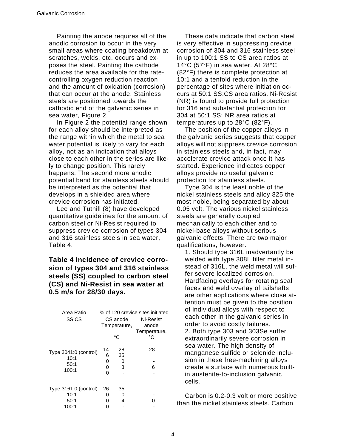Painting the anode requires all of the anodic corrosion to occur in the very small areas where coating breakdown at scratches, welds, etc. occurs and exposes the steel. Painting the cathode reduces the area available for the ratecontrolling oxygen reduction reaction and the amount of oxidation (corrosion) that can occur at the anode. Stainless steels are positioned towards the cathodic end of the galvanic series in sea water, Figure 2.

In Figure 2 the potential range shown for each alloy should be interpreted as the range within which the metal to sea water potential is likely to vary for each alloy, not as an indication that alloys close to each other in the series are likely to change position. This rarely happens. The second more anodic potential band for stainless steels should be interpreted as the potential that develops in a shielded area where crevice corrosion has initiated.

Lee and Tuthill (8) have developed quantitative guidelines for the amount of carbon steel or Ni-Resist required to suppress crevice corrosion of types 304 and 316 stainless steels in sea water, Table 4.

#### **Table 4 Incidence of crevice corrosion of types 304 and 316 stainless steels (SS) coupled to carbon steel (CS) and Ni-Resist in sea water at 0.5 m/s for 28/30 days.**

| Area Ratio<br>SS:CS                            |                        | CS anode<br>Temperature,<br>°C | % of 120 crevice sites initiated<br>Ni-Resist<br>anode<br>Temperature,<br>°۲ |
|------------------------------------------------|------------------------|--------------------------------|------------------------------------------------------------------------------|
| Type 3041:0 (control)<br>10:1<br>50:1<br>100:1 | 14<br>6<br>0<br>0<br>O | 28<br>35<br>0<br>3             | 28<br>6                                                                      |
| Type 3161:0 (control)<br>10:1<br>50:1          | 26<br>0<br>ი           | 35<br>O<br>4                   |                                                                              |
| 100:1                                          |                        |                                |                                                                              |

These data indicate that carbon steel is very effective in suppressing crevice corrosion of 304 and 316 stainless steel in up to 100:1 SS to CS area ratios at 14°C (57°F) in sea water. At 28°C (82°F) there is complete protection at 10:1 and a tenfold reduction in the percentage of sites where initiation occurs at 50:1 SS:CS area ratios. Ni-Resist (NR) is found to provide full protection for 316 and substantial protection for 304 at 50:1 SS: NR area ratios at temperatures up to 28°C (82°F).

The position of the copper alloys in the galvanic series suggests that copper alloys will not suppress crevice corrosion in stainless steels and, in fact, may accelerate crevice attack once it has started. Experience indicates copper alloys provide no useful galvanic protection for stainless steels.

Type 304 is the least noble of the nickel stainless steels and alloy 825 the most noble, being separated by about 0.05 volt. The various nickel stainless steels are generally coupled mechanically to each other and to nickel-base alloys without serious galvanic effects. There are two major qualifications, however.

1. Should type 316L inadvertantly be welded with type 308L filler metal instead of 316L, the weld metal will suffer severe localized corrosion. Hardfacing overlays for rotating seal faces and weld overlay of tailshafts are other applications where close attention must be given to the position of individual alloys with respect to each other in the galvanic series in order to avoid costly failures. 2. Both type 303 and 303Se suffer extraordinarily severe corrosion in sea water. The high density of manganese sulfide or selenide inclusion in these free-machining alloys create a surface with numerous builtin austenite-to-inclusion galvanic cells.

Carbon is 0.2-0.3 volt or more positive than the nickel stainless steels. Carbon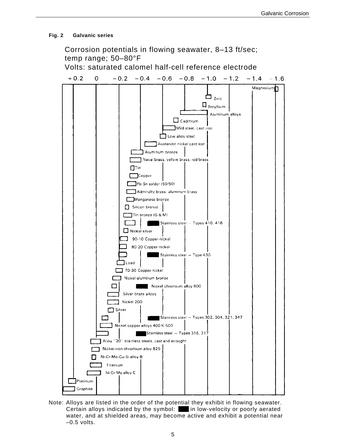#### **Fig. 2 Galvanic series**



Note: Alloys are listed in the order of the potential they exhibit in flowing seawater. Certain alloys indicated by the symbol: in low-velocity or poorly aerated water, and at shielded areas, may become active and exhibit a potential near  $-0.5$  volts.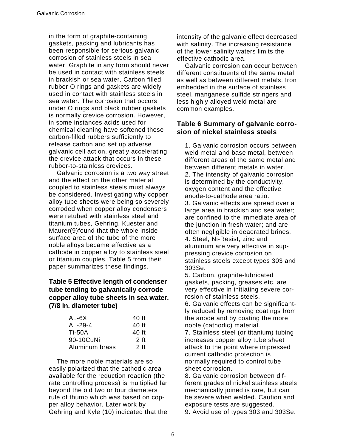in the form of graphite-containing gaskets, packing and lubricants has been responsible for serious galvanic corrosion of stainless steels in sea water. Graphite in any form should never be used in contact with stainless steels in brackish or sea water. Carbon filled rubber O rings and gaskets are widely used in contact with stainless steels in sea water. The corrosion that occurs under O rings and black rubber gaskets is normally crevice corrosion. However, in some instances acids used for chemical cleaning have softened these carbon-filled rubbers sufficiently to release carbon and set up adverse galvanic cell action, greatly accelerating the crevice attack that occurs in these rubber-to-stainless crevices.

Galvanic corrosion is a two way street and the effect on the other material coupled to stainless steels must always be considered. Investigating why copper alloy tube sheets were being so severely corroded when copper alloy condensers were retubed with stainless steel and titanium tubes, Gehring, Kuester and Maurer(9)found that the whole inside surface area of the tube of the more noble alloys became effective as a cathode in copper alloy to stainless steel or titanium couples. Table 5 from their paper summarizes these findings.

#### **Table 5 Effective length of condenser tube tending to galvanically corrode copper alloy tube sheets in sea water. (7/8 in. diameter tube)**

| AL-6X          | 40 ft  |
|----------------|--------|
| $AL-29-4$      | 40 ft  |
| <b>Ti-50A</b>  | 40 ft  |
| 90-10CuNi      | 2 ft   |
| Aluminum brass | $2$ ft |

The more noble materials are so easily polarized that the cathodic area available for the reduction reaction (the rate controlling process) is multiplied far beyond the old two or four diameters rule of thumb which was based on copper alloy behavior. Later work by Gehring and Kyle (10) indicated that the

intensity of the galvanic effect decreased with salinity. The increasing resistance of the lower salinity waters limits the effective cathodic area.

Galvanic corrosion can occur between different constituents of the same metal as well as between different metals. Iron embedded in the surface of stainless steel, manganese sulfide stringers and less highly alloyed weld metal are common examples.

#### **Table 6 Summary of galvanic corrosion of nickel stainless steels**

1. Galvanic corrosion occurs between weld metal and base metal, between different areas of the same metal and between different metals in water. 2. The intensity of galvanic corrosion is determined by the conductivity, oxygen content and the effective anode-to-cathode area ratio. 3. Galvanic effects are spread over a large area in brackish and sea water; are confined to the immediate area of the junction in fresh water; and are often negligible in deaerated brines. 4. Steel, Ni-Resist, zinc and aluminum are very effective in suppressing crevice corrosion on stainless steels except types 303 and 303Se.

5. Carbon, graphite-lubricated gaskets, packing, greases etc. are very effective in initiating severe corrosion of stainless steels.

6. Galvanic effects can be significantly reduced by removing coatings from the anode and by coating the more noble (cathodic) material.

7. Stainless steel (or titanium) tubing increases copper alloy tube sheet attack to the point where impressed current cathodic protection is normally required to control tube sheet corrosion.

8. Galvanic corrosion between different grades of nickel stainless steels mechanically joined is rare, but can be severe when welded. Caution and exposure tests are suggested. 9. Avoid use of types 303 and 303Se.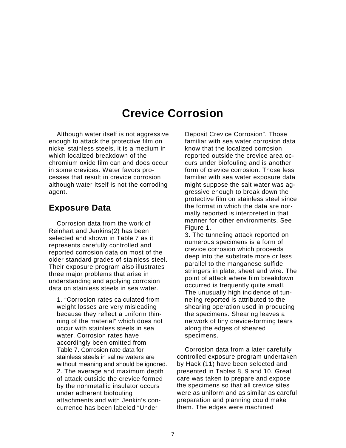## **Crevice Corrosion**

Although water itself is not aggressive enough to attack the protective film on nickel stainless steels, it is a medium in which localized breakdown of the chromium oxide film can and does occur in some crevices. Water favors processes that result in crevice corrosion although water itself is not the corroding agent.

### **Exposure Data**

Corrosion data from the work of Reinhart and Jenkins(2) has been selected and shown in Table 7 as it represents carefully controlled and reported corrosion data on most of the older standard grades of stainless steel. Their exposure program also illustrates three major problems that arise in understanding and applying corrosion data on stainless steels in sea water.

1. "Corrosion rates calculated from weight losses are very misleading because they reflect a uniform thinning of the material" which does not occur with stainless steels in sea water. Corrosion rates have accordingly been omitted from Table 7. Corrosion rate data for stainless steels in saline waters are without meaning and should be ignored. 2. The average and maximum depth of attack outside the crevice formed by the nonmetallic insulator occurs under adherent biofouling attachments and with Jenkin's concurrence has been labeled "Under

Deposit Crevice Corrosion". Those familiar with sea water corrosion data know that the localized corrosion reported outside the crevice area occurs under biofouling and is another form of crevice corrosion. Those less familiar with sea water exposure data might suppose the salt water was aggressive enough to break down the protective film on stainless steel since the format in which the data are normally reported is interpreted in that manner for other environments. See Figure 1.

3. The tunneling attack reported on numerous specimens is a form of crevice corrosion which proceeds deep into the substrate more or less parallel to the manganese sulfide stringers in plate, sheet and wire. The point of attack where film breakdown occurred is frequently quite small. The unusually high incidence of tunneling reported is attributed to the shearing operation used in producing the specimens. Shearing leaves a network of tiny crevice-forming tears along the edges of sheared specimens.

Corrosion data from a later carefully controlled exposure program undertaken by Hack (11) have been selected and presented in Tables 8, 9 and 10. Great care was taken to prepare and expose the specimens so that all crevice sites were as uniform and as similar as careful preparation and planning could make them. The edges were machined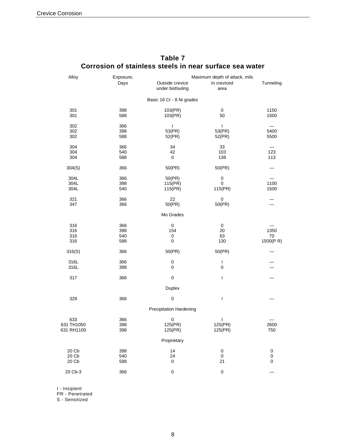| Alloy                           | Exposure,                | Maximum depth of attack, mils       |                                              |                             |  |  |
|---------------------------------|--------------------------|-------------------------------------|----------------------------------------------|-----------------------------|--|--|
|                                 | Days                     | Outside crevice<br>under biofouling | In creviced<br>area                          | Tunneling                   |  |  |
|                                 |                          | Basic 18 Cr - 8 Ni grades           |                                              |                             |  |  |
| 301<br>301                      | 398<br>588               | 103(PR)<br>103(PR)                  | 0<br>50                                      | 1150<br>1500                |  |  |
| 302<br>302<br>302               | 366<br>398<br>588        | T<br>53(PR)<br>52(PR)               | $\overline{\phantom{a}}$<br>53(PR)<br>52(PR) | 5400<br>5500                |  |  |
| 304<br>304<br>304               | 366<br>540<br>588        | 34<br>42<br>0                       | 33<br>103<br>138                             | 123<br>113                  |  |  |
| 304(S)                          | 366                      | 50(PR)                              | 50(PR)                                       |                             |  |  |
| 304L<br>304L<br>304L            | 366<br>398<br>540        | 50(PR)<br>115(PR)<br>115(PR)        | $\pmb{0}$<br>0<br>115(PR)                    | 1100<br>1500                |  |  |
| 321<br>347                      | 366<br>366               | 22<br>50(PR)                        | 0<br>50(PR)                                  |                             |  |  |
|                                 |                          | Mo Grades                           |                                              |                             |  |  |
| 316<br>316<br>316<br>316        | 366<br>398<br>540<br>588 | 0<br>154<br>0<br>0                  | 0<br>20<br>63<br>130                         | 1350<br>70<br>1500(PR)      |  |  |
| 316(S)                          | 366                      | 50(PR)                              | 50(PR)                                       |                             |  |  |
| 316L<br>316L                    | 366<br>398               | 0<br>0                              | I<br>$\pmb{0}$                               |                             |  |  |
| 317                             | 366                      | $\pmb{0}$                           | $\overline{\phantom{a}}$                     |                             |  |  |
|                                 |                          | Duplex                              |                                              |                             |  |  |
| 329                             | 366                      | $\pmb{0}$                           | I                                            |                             |  |  |
|                                 |                          | <b>Precipitation Hardening</b>      |                                              |                             |  |  |
| 633<br>631 TH1050<br>631 RH1100 | 366<br>398<br>398        | 0<br>125(PR)<br>125(PR)             | I<br>125(PR)<br>125(PR)                      | 2600<br>750                 |  |  |
|                                 |                          | Proprietary                         |                                              |                             |  |  |
| 20 Cb<br>20 Cb<br>20 Cb         | 398<br>540<br>588        | 14<br>24<br>0                       | $\pmb{0}$<br>$\boldsymbol{0}$<br>21          | $\pmb{0}$<br>$\pmb{0}$<br>0 |  |  |
| 20 Cb-3                         | 366                      | 0                                   | $\mathbf 0$                                  |                             |  |  |
|                                 |                          |                                     |                                              |                             |  |  |

#### **Table 7 Corrosion of stainless steels in near surface sea water**

I - Insipient

PR - Penetrated

S - Sensitized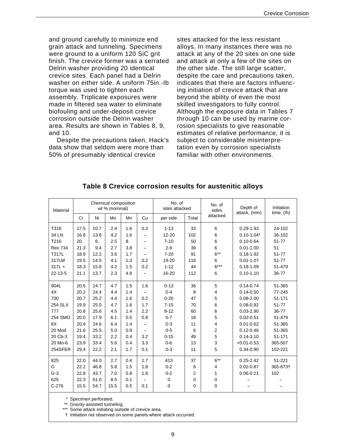and ground carefully to minimize end grain attack and tunneling. Specimens were ground to a uniform 120 SiC grit finish. The crevice former was a serrated Delrin washer providing 20 identical crevice sites. Each panel had a Delrin washer on either side. A uniform 75in.-Ib torque was used to tighten each assembly. Triplicate exposures were made in filtered sea water to eliminate biofouling and under-deposit crevice corrosion outside the Delrin washer area. Results are shown in Tables 8, 9, and 10.

Despite the precautions taken, Hack's data show that seldom were more than 50% of presumably identical crevice

sites attacked for the less resistant alloys. In many instances there was no attack at any of the 20 sites on one side and attack at only a few of the sites on the other side. The still large scatter, despite the care and precautions taken, indicates that there are factors influencing initiation of crevice attack that are beyond the ability of even the most skilled investigators to fully control. Although the exposure data in Tables 7 through 10 can be used by marine corrosion specialists to give reasonable estimates of relative performance, it is subject to considerable misinterpretation even by corrosion specialists familiar with other environments.

| Material       |      |      | Chemical composition<br>wt % (nominal) |     |     | No. of<br>sites attacked |       | No. of<br>sides |                 | Initiation<br>time, $(/h)$ |
|----------------|------|------|----------------------------------------|-----|-----|--------------------------|-------|-----------------|-----------------|----------------------------|
|                | Cr   | Ni   | Mo                                     | Mn  | Cu  | per side                 | Total | attacked        | attack, (mm)    |                            |
| T316           | 17.5 | 10.7 | 2.4                                    | 1.6 | 0.3 | $1 - 13$                 | 33    | 6               | $0.29 - 1.93$   | 24-102                     |
| 34 LN          | 16.8 | 13.8 | 4.2                                    | 1.6 | -   | $12 - 20$                | 102   | 6               | $0.10 - 1.04*$  | 36-102                     |
| T216           | 20.  | 6.   | 2.5                                    | 8.  | -   | $7 - 10$                 | 50    | 6               | $0.10 - 0.64$   | 51-77                      |
| <b>Rex 734</b> | 21.3 | 9.4  | 2.7                                    | 3.8 |     | $2 - 9$                  | 39    | 6               | $0.01 - 1.00$   | 51                         |
| <b>T317L</b>   | 18.9 | 12.2 | 3.6                                    | 1.7 |     | $7 - 20$                 | 91    | $6***$          | $0.18 - 1.92$   | 51-77                      |
| 317LM          | 19.5 | 14.5 | 4.1                                    | 1.3 | 0.2 | 19-20                    | 116   | 6               | $0.01 - 1.07$   | 51-77                      |
| $317L +$       | 18.3 | 15.8 | 4.2                                    | 1.5 | 0.2 | $1 - 12$                 | 44    | $6***$          | $0.18 - 1.09$   | 51-479                     |
| $22 - 13 - 5$  | 21.1 | 13.7 | 2.3                                    | 4.8 | -   | 16-20                    | 112   | 6               | $0.10 - 1.10$   | 36-77                      |
| 904L           | 20.5 | 24.7 | 4.7                                    | 1.5 | 1.6 | $0 - 13$                 | 36    | 5               | $0.14 - 0.74$   | 51-365                     |
| 4X             | 20.2 | 24.4 | 4.4                                    | 1.4 |     | $0 - 4$                  | 8     | 4               | $0.14 - 0.50$   | 77-245                     |
| 700            | 20.7 | 25.2 | 4.4                                    | 1.6 | 0.2 | $0 - 20$                 | 47    | 5               | $0.08 - 2.00$   | 51-171                     |
| 254 SLX        | 19.9 | 25.0 | 4.7                                    | 1.6 | 1.7 | $7 - 15$                 | 70    | 6               | $0.08 - 0.92$   | $51 - 77$                  |
| 777            | 20.8 | 25.6 | 4.5                                    | 1.4 | 2.2 | $8 - 12$                 | 60    | 6               | $0.03 - 2.90$   | 36-77                      |
| 254 SMO        | 20.0 | 17.9 | 6.1                                    | 0.5 | 0.8 | $0 - 7$                  | 18    | 5               | $0.02 - 0.51$   | 51-479                     |
| 6X             | 20.4 | 24.6 | 6.4                                    | 1.4 | —   | $0 - 3$                  | 11    | 4               | $0.01 - 0.62$   | 51-365                     |
| 20 Mod         | 21.6 | 25.5 | 5.0                                    | 0.9 | -   | $0 - 5$                  | 6     | $\overline{2}$  | $0.12 - 0.46$   | 51-365                     |
| 20 Cb-3        | 19.4 | 33.2 | 2.2                                    | 0.4 | 3.2 | $0 - 15$                 | 49    | 5               | $0.14 - 3.10$   | 51-171                     |
| 20 Mo-6        | 23.9 | 33.4 | 5.6                                    | 0.4 | 3.3 | $0-6$                    | 13    | 3               | $< 0.01 - 0.53$ | 365-507                    |
| 254SFER        | 29.4 | 22.2 | 2.1                                    | 1.7 | 0.1 | $0 - 3$                  | 11    | 5               | $0.34 - 0.90$   | 102-221                    |
| 825            | 22.0 | 44.0 | 2.7                                    | 0.4 | 1.7 | 413                      | 37    | $6***$          | $0.25 - 2.42$   | 51-221                     |
| G              | 22.2 | 46.8 | 5.8                                    | 1.5 | 1.8 | $0 - 2$                  | 6     | 4               | $0.02 - 0.87$   | 365-673†                   |
| $G-3$          | 22.8 | 43.7 | 7.0                                    | 0.8 | 1.8 | $0 - 2$                  | 2     | 1               | $0.06 - 0.21$   | 102                        |
| 625            | 22.3 | 61.0 | 8.5                                    | 0.1 |     | 0                        | 0     | $\mathbf 0$     |                 |                            |
| $C-276$        | 15.5 | 54.7 | 15.5                                   | 0.5 | 0.1 | $\mathbf 0$              | 0     | 0               |                 |                            |

#### **Table 8 Crevice corrosion results for austenitic alloys**

Specimen perforated.

\*\* Gravity-assisted tunneling.

Some attack initiating outside of crevice area.

† Initiation not observed on some panels where attack occurred.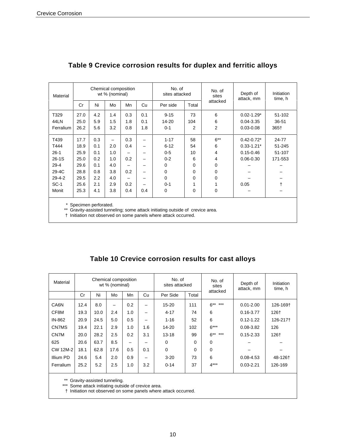| Material     |      |     | Chemical composition<br>wt % (nominal) |     |     | No. of<br>sites attacked | No. of<br>sites |          | Depth of<br>attack, mm | <b>Initiation</b><br>time, h |
|--------------|------|-----|----------------------------------------|-----|-----|--------------------------|-----------------|----------|------------------------|------------------------------|
|              | Cr   | Ni  | Mo                                     | Mn  | Cu  | Per side                 | Total           | attacked |                        |                              |
| T329         | 27.0 | 4.2 | 1.4                                    | 0.3 | 0.1 | $9 - 15$                 | 73              | 6        | $0.02 - 1.29*$         | 51-102                       |
| 44LN         | 25.0 | 5.9 | 1.5                                    | 1.8 | 0.1 | 14-20                    | 104             | 6        | $0.04 - 3.35$          | 36-51                        |
| Ferralium    | 26.2 | 5.6 | 3.2                                    | 0.8 | 1.8 | $0 - 1$                  | 2               | 2        | $0.03 - 0.08$          | 365†                         |
| T439         | 17.7 | 0.3 |                                        | 0.3 |     | $1 - 17$                 | 58              | $6***$   | $0.42 - 0.72*$         | 24-77                        |
| T444         | 18.9 | 0.1 | 2.0                                    | 0.4 |     | $6 - 12$                 | 54              | 6        | $0.33 - 1.21*$         | 51-245                       |
| $26-1$       | 25.9 | 0.1 | 1.0                                    |     |     | $0-5$                    | 10              | 4        | $0.15 - 0.46$          | 51-107                       |
| $26 - 1S$    | 25.0 | 0.2 | 1.0                                    | 0.2 | -   | $0 - 2$                  | 6               | 4        | $0.06 - 0.30$          | 171-553                      |
| $29 - 4$     | 29.6 | 0.1 | 4.0                                    |     |     | 0                        | 0               | 0        |                        |                              |
| 29-4C        | 28.8 | 0.8 | 3.8                                    | 0.2 | -   | 0                        | 0               | 0        |                        |                              |
| $29 - 4 - 2$ | 29.5 | 2.2 | 4.0                                    |     |     | $\mathbf 0$              | 0               | 0        |                        |                              |
| $SC-1$       | 25.6 | 2.1 | 2.9                                    | 0.2 | -   | $0 - 1$                  | 1               | 1        | 0.05                   | t                            |
| Monit        | 25.3 | 4.1 | 3.8                                    | 0.4 | 0.4 | 0                        | 0               | 0        |                        |                              |
|              |      |     |                                        |     |     |                          |                 |          |                        |                              |

### **Table 9 Crevice corrosion results for duplex and ferritic alloys**

\* Specimen perforated.

\*\* Gravity-assisted tunneling; some attack initiating outside of crevice area.

† Initiation not observed on some panels where attack occurred.

|  |  | Table 10 Crevice corrosion results for cast alloys |
|--|--|----------------------------------------------------|
|  |  |                                                    |

| Material        | Chemical composition<br>wt % (nominal) |      | No. of<br>sites attacked |     | No. of<br>sites | Depth of<br>attack, mm | Initiation<br>time, h |             |               |          |
|-----------------|----------------------------------------|------|--------------------------|-----|-----------------|------------------------|-----------------------|-------------|---------------|----------|
|                 | Cr                                     | Ni   | Mo                       | Mn  | Cu              | Per Side               | Total                 | attacked    |               |          |
| CA6N            | 12.4                                   | 8.0  |                          | 0.2 | -               | $15 - 20$              | 111                   | $6******$   | $0.01 - 2.00$ | 126-169† |
| CF8M            | 19.3                                   | 10.0 | 2.4                      | 1.0 | —               | $4 - 17$               | 74                    | 6           | $0.16 - 3.77$ | 126†     |
| IN-862          | 20.9                                   | 24.5 | 5.0                      | 0.5 |                 | $1 - 16$               | 52                    | 6           | $0.12 - 1.22$ | 126-217† |
| CN7MS           | 19.4                                   | 22.1 | 2.9                      | 1.0 | 1.6             | 14-20                  | 102                   | $6***$      | $0.08 - 3.82$ | 126      |
| CN7M            | 20.0                                   | 28.2 | 2.5                      | 0.2 | 3.1             | $13 - 18$              | 99                    | $6******$   | $0.15 - 2.33$ | 126†     |
| 625             | 20.6                                   | 63.7 | 8.5                      | —   |                 | 0                      | 0                     | $\Omega$    |               |          |
| <b>CW 12M-2</b> | 18.1                                   | 62.8 | 17.6                     | 0.5 | 0.1             | $\Omega$               | 0                     | $\mathbf 0$ |               |          |
| Illium PD       | 24.6                                   | 5.4  | 2.0                      | 0.9 | -               | $3 - 20$               | 73                    | 6           | $0.08 - 4.53$ | 48-126+  |
| Ferralium       | 25.2                                   | 5.2  | 2.5                      | 1.0 | 3.2             | $0 - 14$               | 37                    | $4***$      | $0.03 - 2.21$ | 126-169  |

\*\* Gravity-assisted tunneling.

\*\*\* Some attack initiating outside of crevice area.

† Initiation not observed on some panels where attack occurred.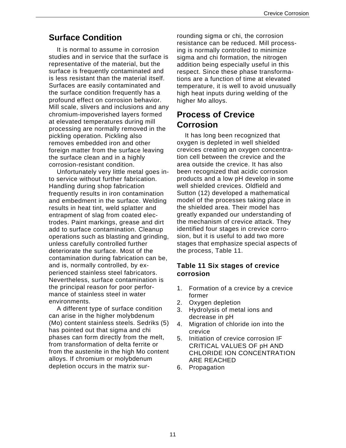### **Surface Condition**

It is normal to assume in corrosion studies and in service that the surface is representative of the material, but the surface is frequently contaminated and is less resistant than the material itself. Surfaces are easily contaminated and the surface condition frequently has a profound effect on corrosion behavior. Mill scale, slivers and inclusions and any chromium-impoverished layers formed at elevated temperatures during mill processing are normally removed in the pickling operation. Pickling also removes embedded iron and other foreign matter from the surface leaving the surface clean and in a highly corrosion-resistant condition.

Unfortunately very little metal goes into service without further fabrication. Handling during shop fabrication frequently results in iron contamination and embedment in the surface. Welding results in heat tint, weld splatter and entrapment of slag from coated electrodes. Paint markings, grease and dirt add to surface contamination. Cleanup operations such as blasting and grinding, unless carefully controlled further deteriorate the surface. Most of the contamination during fabrication can be, and is, normally controlled, by experienced stainless steel fabricators. Nevertheless, surface contamination is the principal reason for poor performance of stainless steel in water environments.

A different type of surface condition can arise in the higher molybdenum (Mo) content stainless steels. Sedriks (5) has pointed out that sigma and chi phases can form directly from the melt, from transformation of delta ferrite or from the austenite in the high Mo content alloys. If chromium or molybdenum depletion occurs in the matrix surrounding sigma or chi, the corrosion resistance can be reduced. Mill processing is normally controlled to minimize sigma and chi formation, the nitrogen addition being especially useful in this respect. Since these phase transformations are a function of time at elevated temperature, it is well to avoid unusually high heat inputs during welding of the higher Mo alloys.

### **Process of Crevice Corrosion**

It has long been recognized that oxygen is depleted in well shielded crevices creating an oxygen concentration cell between the crevice and the area outside the crevice. It has also been recognized that acidic corrosion products and a low pH develop in some well shielded crevices. Oldfield and Sutton (12) developed a mathematical model of the processes taking place in the shielded area. Their model has greatly expanded our understanding of the mechanism of crevice attack. They identified four stages in crevice corrosion, but it is useful to add two more stages that emphasize special aspects of the process, Table 11.

#### **Table 11 Six stages of crevice corrosion**

- 1. Formation of a crevice by a crevice former
- 2. Oxygen depletion
- 3. Hydrolysis of metal ions and decrease in pH
- 4. Migration of chloride ion into the crevice
- 5. Initiation of crevice corrosion IF CRITICAL VALUES OF pH AND CHLORIDE ION CONCENTRATION ARE REACHED
- 6. Propagation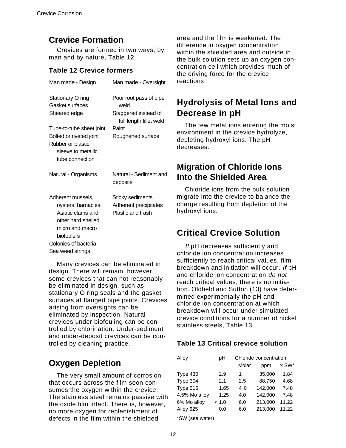Crevices are formed in two ways, by man and by nature, Table 12.

#### **Table 12 Crevice formers**

| Man made - Design                                                                                                                                                         | Man made - Oversight                                                                                            |
|---------------------------------------------------------------------------------------------------------------------------------------------------------------------------|-----------------------------------------------------------------------------------------------------------------|
| Stationary O ring<br>Gasket surfaces<br>Sheared edge<br>Tube-to-tube sheet joint<br>Bolted or riveted joint<br>Rubber or plastic<br>sleeve to metallic<br>tube connection | Poor root pass of pipe<br>weld<br>Staggered instead of<br>full length fillet weld<br>Paint<br>Roughened surface |
| Natural - Organisms                                                                                                                                                       | Natural - Sediment and<br>deposits                                                                              |
| Adherent mussels,<br>oysters, barnacles,<br>Asiatic clams and<br>other hard shelled<br>micro and macro<br>biofoulers<br>Colonies of bacteria<br>Sea weed strings          | Sticky sediments<br>Adherent precipitates<br>Plastic and trash                                                  |

Many crevices can be eliminated in design. There will remain, however, some crevices that can not reasonably be eliminated in design, such as stationary O ring seals and the gasket surfaces at flanged pipe joints. Crevices arising from oversights can be eliminated by inspection. Natural crevices under biofouling can be controlled by chlorination. Under-sediment and under-deposit crevices can be controlled by cleaning practice.

### **Oxygen Depletion**

The very small amount of corrosion that occurs across the film soon consumes the oxygen within the crevice. The stainless steel remains passive with the oxide film intact. There is, however, no more oxygen for replenishment of defects in the film within the shielded

**Crevice Formation** area and the film is weakened. The difference in oxygen concentration within the shielded area and outside in the bulk solution sets up an oxygen concentration cell which provides much of the driving force for the crevice reactions.

### **Hydrolysis of Metal Ions and Decrease in pH**

The few metal ions entering the moist environment in the crevice hydrolyze, depleting hydroxyl ions. The pH decreases.

### **Migration of Chloride Ions Into the Shielded Area**

Chloride ions from the bulk solution migrate into the crevice to balance the charge resulting from depletion of the hydroxyl ions.

### **Critical Crevice Solution**

If pH decreases sufficiently and chloride ion concentration increases sufficiently to reach critical values, film breakdown and initiation will occur. If pH and chloride ion concentration do not reach critical values, there is no initiation. Oldfield and Sutton (13) have determined experimentally the pH and chloride ion concentration at which breakdown will occur under simulated crevice conditions for a number of nickel stainless steels, Table 13.

### **Table 13 Critical crevice solution**

| Alloy         | рH    | Chloride concentration |         |       |  |
|---------------|-------|------------------------|---------|-------|--|
|               |       | Molar                  | ppm     | x SW* |  |
| Type 430      | 2.9   | 1                      | 35,000  | 1.84  |  |
| Type 304      | 2.1   | $2.5\,$                | 88,750  | 4.68  |  |
| Type 316      | 1.65  | 4.0                    | 142.000 | 7.48  |  |
| 4.5% Mo alloy | 1.25  | 4.0                    | 142,000 | 7.48  |  |
| 6% Mo alloy   | < 1.0 | 6.0                    | 213,000 | 11.22 |  |
| Alloy 625     | 0.0   | 6.0                    | 213.000 | 11.22 |  |
| $\frac{1}{2}$ |       |                        |         |       |  |

\*SW (sea water)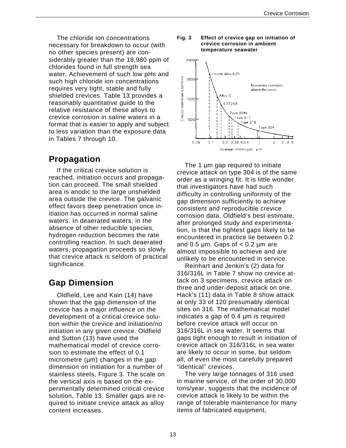The chloride ion concentrations necessary for breakdown to occur (with no other species present) are considerably greater than the 18,980 ppm of chlorides found in full strength sea water. Achievement of such low pHs and such high chloride ion concentrations requires very tight, stable and fully shielded crevices. Table 13 provides a reasonably quantitative guide to the relative resistance of these alloys to crevice corrosion in saline waters in a format that is easier to apply and subject to less variation than the exposure data in Tables 7 through 10.

### **Propagation**

If the critical crevice solution is reached, initiation occurs and propagation can proceed. The small shielded area is anodic to the large unshielded area outside the crevice. The galvanic effect favors deep penetration once initiation has occurred in normal saline waters. In deaerated waters, in the absence of other reducible species, hydrogen reduction becomes the rate controlling reaction. In such deaerated waters, propagation proceeds so slowly that crevice attack is seldom of practical significance.

### **Gap Dimension**

Oldfield, Lee and Kain (14) have shown that the gap dimension of the crevice has a major influence on the development of a critical crevice solution within the crevice and initiation/no initiation in any given crevice. Oldfield and Sutton (13) have used the mathematical model of crevice corrosion to estimate the effect of 0.1 micrometre  $(\mu m)$  changes in the gap dimension on initiation for a number of stainless steels, Figure 3. The scale on the vertical axis is based on the experimentally determined critical crevice solution, Table 13. Smaller gaps are required to initiate crevice attack as alloy content increases.

#### **Fig. 3 Effect of crevice gap on initiation of crevice corrosion in ambient temperature seawater**



The 1 µm gap required to initiate crevice attack on type 304 is of the same order as a wringing fit. It is little wonder that investigators have had such difficulty in controlling uniformity of the gap dimension sufficiently to achieve consistent and reproducible crevice corrosion data. Oldfield's best estimate, after prolonged study and experimentation, is that the tightest gaps likely to be encountered in practice lie between 0.2 and 0.5  $\mu$ m. Gaps of  $<$  0.2  $\mu$ m are almost impossible to achieve and are unlikely to be encountered in service.

Reinhart and Jenkin's (2) data for 316/316L in Table 7 show no crevice attack on 3 specimens, crevice attack on three and under-deposit attack on one. Hack's (11) data in Table 8 show attack at only 33 of 120 presumably identical sites on 316. The mathematical model indicates a gap of 0.4 µm is required before crevice attack will occur on 316/316L in sea water. It seems that gaps tight enough to result in initiation of crevice attack on 316/316L in sea water are likely to occur in some, but seldom all, of even the most carefully prepared "identical" crevices.

The very large tonnages of 316 used in marine service, of the order of 30,000 tons/year, suggests that the incidence of crevice attack is likely to be within the range of tolerable maintenance for many items of fabricated equipment,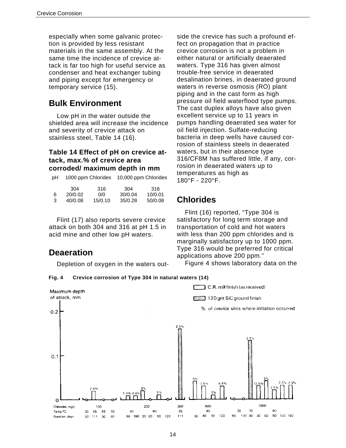especially when some galvanic protection is provided by less resistant materials in the same assembly. At the same time the incidence of crevice attack is far too high for useful service as condenser and heat exchanger tubing and piping except for emergency or temporary service (15).

### **Bulk Environment**

Low pH in the water outside the shielded area will increase the incidence and severity of crevice attack on stainless steel, Table 14 (16).

#### **Table 14 Effect of pH on crevice attack, max.% of crevice area corroded/ maximum depth in mm**

| pН |         | 10,000 ppm Chlorides<br>1000 ppm Chlorides |         |         |
|----|---------|--------------------------------------------|---------|---------|
|    | 304     | 316                                        | 304     | 316     |
| 6  | 20/0.02 | 0/0                                        | 30/0.04 | 10/0.01 |
| 3  | 40/0.08 | 15/0.10                                    | 35/0.28 | 50/0.08 |

Flint (17) also reports severe crevice attack on both 304 and 316 at pH 1.5 in acid mine and other low pH waters.

### **Deaeration**

Depletion of oxygen in the waters out- Figure 4 shows laboratory data on the

side the crevice has such a profound effect on propagation that in practice crevice corrosion is not a problem in either natural or artificially deaerated waters. Type 316 has given almost trouble-free service in deaerated desalination brines, in deaerated ground waters in reverse osmosis (RO) plant piping and in the cast form as high pressure oil field waterflood type pumps. The cast duplex alloys have also given excellent service up to 11 years in pumps handling deaerated sea water for oil field injection. Sulfate-reducing bacteria in deep wells have caused corrosion of stainless steels in deaerated waters, but in their absence type 316/CF8M has suffered little, if any, corrosion in deaerated waters up to temperatures as high as 180°F - 220°F.

### **Chlorides**

Flint (16) reported, "Type 304 is satisfactory for long term storage and transportation of cold and hot waters with less than 200 ppm chlorides and is marginally satisfactory up to 1000 ppm. Type 316 would be preferred for critical applications above 200 ppm."



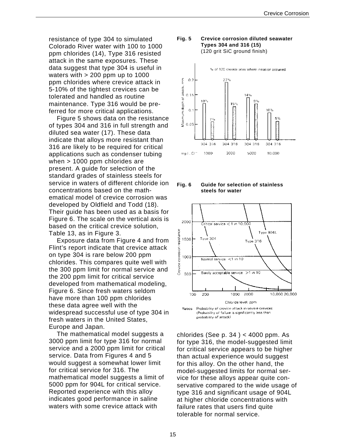resistance of type 304 to simulated Colorado River water with 100 to 1000 ppm chlorides (14), Type 316 resisted attack in the same exposures. These data suggest that type 304 is useful in waters with > 200 ppm up to 1000 ppm chlorides where crevice attack in 5-10% of the tightest crevices can be tolerated and handled as routine maintenance. Type 316 would be preferred for more critical applications.

Figure 5 shows data on the resistance of types 304 and 316 in full strength and diluted sea water (17). These data indicate that alloys more resistant than 316 are likely to be required for critical applications such as condenser tubing when > 1000 ppm chlorides are present. A guide for selection of the standard grades of stainless steels for service in waters of different chloride ion concentrations based on the mathematical model of crevice corrosion was developed by Oldfield and Todd (18). Their guide has been used as a basis for Figure 6. The scale on the vertical axis is based on the critical crevice solution, Table 13, as in Figure 3.

Exposure data from Figure 4 and from Flint's report indicate that crevice attack on type 304 is rare below 200 ppm chlorides. This compares quite well with the 300 ppm limit for normal service and the 200 ppm limit for critical service developed from mathematical modeling, Figure 6. Since fresh waters seldom have more than 100 ppm chlorides these data agree well with the widespread successful use of type 304 in fresh waters in the United States, Europe and Japan.

The mathematical model suggests a 3000 ppm limit for type 316 for normal service and a 2000 ppm limit for critical service. Data from Figures 4 and 5 would suggest a somewhat lower limit for critical service for 316. The mathematical model suggests a limit of 5000 ppm for 904L for critical service. Reported experience with this alloy indicates good performance in saline waters with some crevice attack with

#### **Fig. 5 Crevice corrosion diluted seawater Types 304 and 316 (15)**  (120 grit SiC ground finish)



**Fig. 6 Guide for selection of stainless steels for water**



chlorides (See p. 34 ) < 4000 ppm. As for type 316, the model-suggested limit for critical service appears to be higher than actual experience would suggest for this alloy. On the other hand, the model-suggested limits for normal service for these alloys appear quite conservative compared to the wide usage of type 316 and significant usage of 904L at higher chloride concentrations with failure rates that users find quite tolerable for normal service.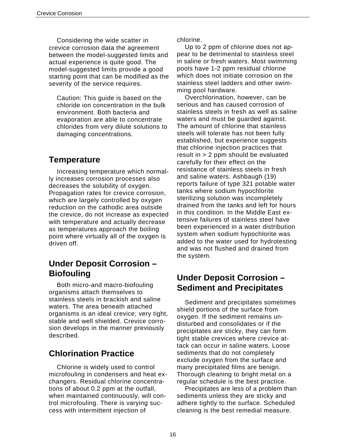Considering the wide scatter in crevice corrosion data the agreement between the model-suggested limits and actual experience is quite good. The model-suggested limits provide a good starting point that can be modified as the severity of the service requires.

Caution: This guide is based on the chloride ion concentration in the bulk environment. Both bacteria and evaporation are able to concentrate chlorides from very dilute solutions to damaging concentrations.

### **Temperature**

Increasing temperature which normally increases corrosion processes also decreases the solubility of oxygen. Propagation rates for crevice corrosion, which are largely controlled by oxygen reduction on the cathodic area outside the crevice, do not increase as expected with temperature and actually decrease as temperatures approach the boiling point where virtually all of the oxygen is driven off.

### **Under Deposit Corrosion – Biofouling**

Both micro-and macro-biofouling organisms attach themselves to stainless steels in brackish and saline waters. The area beneath attached organisms is an ideal crevice; very tight, stable and well shielded. Crevice corrosion develops in the manner previously described.

### **Chlorination Practice**

Chlorine is widely used to control microfouling in condensers and heat exchangers. Residual chlorine concentrations of about 0.2 ppm at the outfall, when maintained continuously, will control microfouling. There is varying success with intermittent injection of

chlorine.

Up to 2 ppm of chlorine does not appear to be detrimental to stainless steel in saline or fresh waters. Most swimming pools have 1-2 ppm residual chlorine which does not initiate corrosion on the stainless steel ladders and other swimming pool hardware.

Overchlorination, however, can be serious and has caused corrosion of stainless steels in fresh as well as saline waters and must be guarded against. The amount of chlorine that stainless steels will tolerate has not been fully established, but experience suggests that chlorine injection practices that result in > 2 ppm should be evaluated carefully for their effect on the resistance of stainless steels in fresh and saline waters. Ashbaugh (19) reports failure of type 321 potable water tanks where sodium hypochlorite sterilizing solution was incompletely drained from the tanks and left for hours in this condition. In the Middle East extensive failures of stainless steel have been experienced in a water distribution system when sodium hypochlorite was added to the water used for hydrotesting and was not flushed and drained from the system.

### **Under Deposit Corrosion – Sediment and Precipitates**

Sediment and precipitates sometimes shield portions of the surface from oxygen. If the sediment remains undisturbed and consolidates or if the precipitates are sticky, they can form tight stable crevices where crevice attack can occur in saline waters. Loose sediments that do not completely exclude oxygen from the surface and many precipitated films are benign. Thorough cleaning to bright metal on a regular schedule is the best practice.

Precipitates are less of a problem than sediments unless they are sticky and adhere tightly to the surface. Scheduled cleaning is the best remedial measure.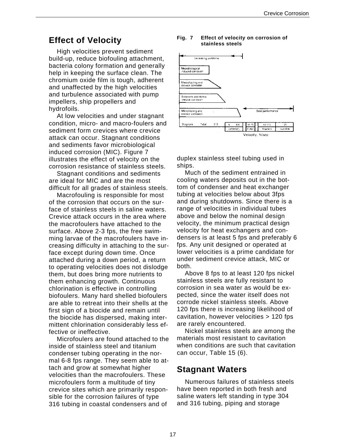High velocities prevent sediment build-up, reduce biofouling attachment, bacteria colony formation and generally help in keeping the surface clean. The chromium oxide film is tough, adherent and unaffected by the high velocities and turbulence associated with pump impellers, ship propellers and hydrofoils.

At low velocities and under stagnant condition, micro- and macro-foulers and sediment form crevices where crevice attack can occur. Stagnant conditions and sediments favor microbiological induced corrosion (MIC). Figure 7 illustrates the effect of velocity on the corrosion resistance of stainless steels.

Stagnant conditions and sediments are ideal for MIC and are the most difficult for all grades of stainless steels.

Macrofouling is responsible for most of the corrosion that occurs on the surface of stainless steels in saline waters. Crevice attack occurs in the area where the macrofoulers have attached to the surface. Above 2-3 fps, the free swimming larvae of the macrofoulers have increasing difficulty in attaching to the surface except during down time. Once attached during a down period, a return to operating velocities does not dislodge them, but does bring more nutrients to them enhancing growth. Continuous chlorination is effective in controlling biofoulers. Many hard shelled biofoulers are able to retreat into their shells at the first sign of a biocide and remain until the biocide has dispersed, making intermittent chlorination considerably less effective or ineffective.

Microfoulers are found attached to the inside of stainless steel and titanium condenser tubing operating in the normal 6-8 fps range. They seem able to attach and grow at somewhat higher velocities than the macrofoulers. These microfoulers form a multitude of tiny crevice sites which are primarily responsible for the corrosion failures of type 316 tubing in coastal condensers and of

#### **Effect of Velocity Fig. 7** Effect of velocity on corrosion of **stainless steels**



duplex stainless steel tubing used in ships.

Much of the sediment entrained in cooling waters deposits out in the bottom of condenser and heat exchanger tubing at velocities below about 3fps and during shutdowns. Since there is a range of velocities in individual tubes above and below the nominal design velocity, the minimum practical design velocity for heat exchangers and condensers is at least 5 fps and preferably 6 fps. Any unit designed or operated at lower velocities is a prime candidate for under sediment crevice attack, MIC or both.

Above 8 fps to at least 120 fps nickel stainless steels are fully resistant to corrosion in sea water as would be expected, since the water itself does not corrode nickel stainless steels. Above 120 fps there is increasing likelihood of cavitation, however velocities > 120 fps are rarely encountered.

Nickel stainless steels are among the materials most resistant to cavitation when conditions are such that cavitation can occur, Table 15 (6).

### **Stagnant Waters**

Numerous failures of stainless steels have been reported in both fresh and saline waters left standing in type 304 and 316 tubing, piping and storage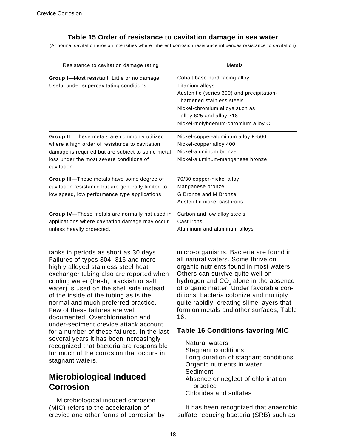#### **Table 15 Order of resistance to cavitation damage in sea water**

(At normal cavitation erosion intensities where inherent corrosion resistance influences resistance to cavitation)

| Resistance to cavitation damage rating                                                                                                                                                                       | Metals                                                                                                                                                                                                                         |
|--------------------------------------------------------------------------------------------------------------------------------------------------------------------------------------------------------------|--------------------------------------------------------------------------------------------------------------------------------------------------------------------------------------------------------------------------------|
| Group I-Most resistant. Little or no damage.<br>Useful under supercavitating conditions.                                                                                                                     | Cobalt base hard facing alloy<br>Titanium alloys<br>Austenitic (series 300) and precipitation-<br>hardened stainless steels<br>Nickel-chromium alloys such as<br>alloy 625 and alloy 718<br>Nickel-molybdenum-chromium alloy C |
| Group II-These metals are commonly utilized<br>where a high order of resistance to cavitation<br>damage is required but are subject to some metal<br>loss under the most severe conditions of<br>cavitation. | Nickel-copper-aluminum alloy K-500<br>Nickel-copper alloy 400<br>Nickel-aluminum bronze<br>Nickel-aluminum-manganese bronze                                                                                                    |
| Group III-These metals have some degree of<br>cavitation resistance but are generally limited to<br>low speed, low performance type applications.                                                            | 70/30 copper-nickel alloy<br>Manganese bronze<br>G Bronze and M Bronze<br>Austenitic nickel cast irons                                                                                                                         |
| Group IV-These metals are normally not used in<br>applications where cavitation damage may occur<br>unless heavily protected.                                                                                | Carbon and low alloy steels<br>Cast irons<br>Aluminum and aluminum alloys                                                                                                                                                      |

tanks in periods as short as 30 days. Failures of types 304, 316 and more highly alloyed stainless steel heat exchanger tubing also are reported when cooling water (fresh, brackish or salt water) is used on the shell side instead of the inside of the tubing as is the normal and much preferred practice. Few of these failures are well documented. Overchlorination and under-sediment crevice attack account for a number of these failures. In the last several years it has been increasingly recognized that bacteria are responsible for much of the corrosion that occurs in stagnant waters.

### **Microbiological Induced Corrosion**

Microbiological induced corrosion (MIC) refers to the acceleration of crevice and other forms of corrosion by micro-organisms. Bacteria are found in all natural waters. Some thrive on organic nutrients found in most waters. Others can survive quite well on hydrogen and CO<sub>2</sub> alone in the absence of organic matter. Under favorable conditions, bacteria colonize and multiply quite rapidly, creating slime layers that form on metals and other surfaces, Table 16.

#### **Table 16 Conditions favoring MIC**

Natural waters Stagnant conditions Long duration of stagnant conditions Organic nutrients in water Sediment Absence or neglect of chlorination practice Chlorides and sulfates

It has been recognized that anaerobic sulfate reducing bacteria (SRB) such as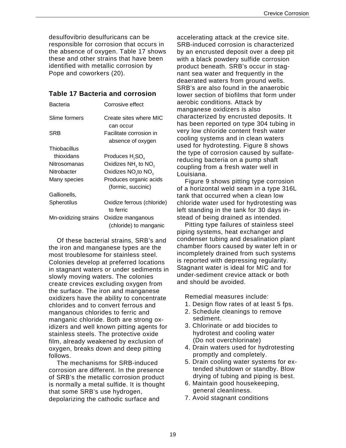desulfovibrio desulfuricans can be responsible for corrosion that occurs in the absence of oxygen. Table 17 shows these and other strains that have been identified with metallic corrosion by Pope and coworkers (20).

#### **Table 17 Bacteria and corrosion**

| Bacteria             | Corrosive effect                            |
|----------------------|---------------------------------------------|
| Slime formers        | Create sites where MIC                      |
|                      | can occur                                   |
| SRB                  | Facilitate corrosion in                     |
|                      | absence of oxygen                           |
| Thiobacillus         |                                             |
| thioxidans           | Produces H <sub>2</sub> SO <sub>4</sub>     |
| Nitrosomanas         | Oxidizes NH <sub>3</sub> to NO <sub>2</sub> |
| Nitrobacter          | Oxidizes NO <sub>2</sub> to NO <sub>3</sub> |
| Many species         | Produces organic acids                      |
|                      | (formic, succinic)                          |
| Gallionells,         |                                             |
| Spherotilus          | Oxidize ferrous (chloride)                  |
|                      | to ferric                                   |
| Mn-oxidizing strains | Oxidize manganous                           |
|                      | (chloride) to manganic                      |

Of these bacterial strains, SRB's and the iron and manganese types are the most troublesome for stainless steel. Colonies develop at preferred locations in stagnant waters or under sediments in slowly moving waters. The colonies create crevices excluding oxygen from the surface. The iron and manganese oxidizers have the ability to concentrate chlorides and to convert ferrous and manganous chlorides to ferric and manganic chloride. Both are strong oxidizers and well known pitting agents for stainless steels. The protective oxide film, already weakened by exclusion of oxygen, breaks down and deep pitting follows.

The mechanisms for SRB-induced corrosion are different. In the presence of SRB's the metallic corrosion product is normally a metal sulfide. It is thought that some SRB's use hydrogen, depolarizing the cathodic surface and

accelerating attack at the crevice site. SRB-induced corrosion is characterized by an encrusted deposit over a deep pit with a black powdery sulfide corrosion product beneath. SRB's occur in stagnant sea water and frequently in the deaerated waters from ground wells. SRB's are also found in the anaerobic lower section of biofilms that form under aerobic conditions. Attack by manganese oxidizers is also characterized by encrusted deposits. It has been reported on type 304 tubing in very low chloride content fresh water cooling systems and in clean waters used for hydrotesting. Figure 8 shows the type of corrosion caused by sulfatereducing bacteria on a pump shaft coupling from a fresh water well in Louisiana.

Figure 9 shows pitting type corrosion of a horizontal weld seam in a type 316L tank that occurred when a clean low chloride water used for hydrotesting was left standing in the tank for 30 days instead of being drained as intended.

Pitting type failures of stainless steel piping systems, heat exchanger and condenser tubing and desalination plant chamber floors caused by water left in or incompletely drained from such systems is reported with depressing regularity. Stagnant water is ideal for MIC and for under-sediment crevice attack or both and should be avoided.

Remedial measures include:

- 1. Design flow rates of at least 5 fps.
- 2. Schedule cleanings to remove sediment.
- 3. Chlorinate or add biocides to hydrotest and cooling water (Do not overchlorinate)
- 4. Drain waters used for hydrotesting promptly and completely.
- 5. Drain cooling water systems for extended shutdown or standby. Blow drying of tubing and piping is best.
- 6. Maintain good housekeeping, general cleanliness.
- 7. Avoid stagnant conditions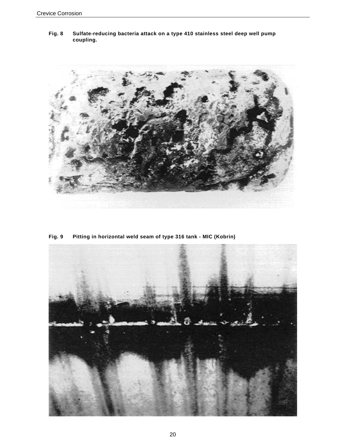**Fig. 8 Sulfate-reducing bacteria attack on a type 410 stainless steel deep well pump coupling.** 



**Fig. 9 Pitting in horizontal weld seam of type 316 tank - MIC (Kobrin)** 

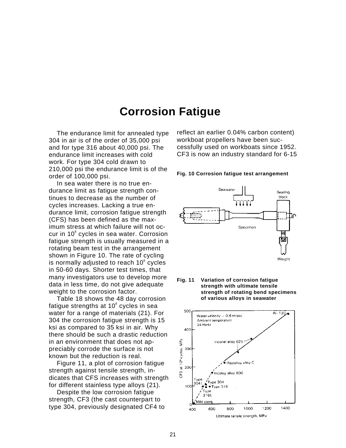### **Corrosion Fatigue**

The endurance limit for annealed type 304 in air is of the order of 35,000 psi and for type 316 about 40,000 psi. The endurance limit increases with cold work. For type 304 cold drawn to 210,000 psi the endurance limit is of the order of 100,000 psi.

In sea water there is no true endurance limit as fatigue strength continues to decrease as the number of cycles increases. Lacking a true endurance limit, corrosion fatigue strength (CFS) has been defined as the maximum stress at which failure will not occur in 10<sup>8</sup> cycles in sea water. Corrosion fatigue strength is usually measured in a rotating beam test in the arrangement shown in Figure 10. The rate of cycling is normally adjusted to reach  $10^8$  cycles in 50-60 days. Shorter test times, that many investigators use to develop more data in less time, do not give adequate weight to the corrosion factor.

Table 18 shows the 48 day corrosion fatigue strengths at 10 $^{\circ}$  cycles in sea water for a range of materials (21). For 304 the corrosion fatigue strength is 15 ksi as compared to 35 ksi in air. Why there should be such a drastic reduction in an environment that does not appreciably corrode the surface is not known but the reduction is real.

Figure 11, a plot of corrosion fatigue strength against tensile strength, indicates that CFS increases with strength for different stainless type alloys (21).

Despite the low corrosion fatigue strength, CF3 (the cast counterpart to type 304, previously designated CF4 to reflect an earlier 0.04% carbon content) workboat propellers have been successfully used on workboats since 1952. CF3 is now an industry standard for 6-15



![](_page_25_Figure_8.jpeg)

![](_page_25_Figure_9.jpeg)

![](_page_25_Figure_10.jpeg)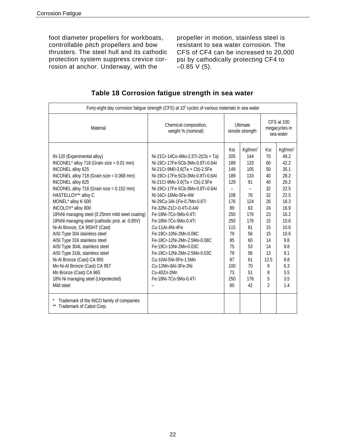foot diameter propellers for workboats, controllable pitch propellers and bow thrusters. The steel hull and its cathodic protection system suppress crevice corrosion at anchor. Underway, with the

propeller in motion, stainless steel is resistant to sea water corrosion. The CFS of CF4 can be increased to 20,000 psi by cathodically protecting CF4 to  $-0.85$  V (5).

| Forty-eight day corrosion fatigue strength (CFS) at 10 <sup>°</sup> cycles of various materials in sea water                                                                                                                                                                                                                                                                                                                                                                                                                                                                                                                                                                                                     |                                                                                                                                                                                                                                                                                                                                                                                                                                                                                                                                                                                      |                                                                                                                                              |                                                                                                                                                                        |                                                                                                                                 |                                                                                                                                                                            |
|------------------------------------------------------------------------------------------------------------------------------------------------------------------------------------------------------------------------------------------------------------------------------------------------------------------------------------------------------------------------------------------------------------------------------------------------------------------------------------------------------------------------------------------------------------------------------------------------------------------------------------------------------------------------------------------------------------------|--------------------------------------------------------------------------------------------------------------------------------------------------------------------------------------------------------------------------------------------------------------------------------------------------------------------------------------------------------------------------------------------------------------------------------------------------------------------------------------------------------------------------------------------------------------------------------------|----------------------------------------------------------------------------------------------------------------------------------------------|------------------------------------------------------------------------------------------------------------------------------------------------------------------------|---------------------------------------------------------------------------------------------------------------------------------|----------------------------------------------------------------------------------------------------------------------------------------------------------------------------|
| Material                                                                                                                                                                                                                                                                                                                                                                                                                                                                                                                                                                                                                                                                                                         | Chemical composition,<br>weight % (nominal)                                                                                                                                                                                                                                                                                                                                                                                                                                                                                                                                          | Ultimate<br>tensile strength                                                                                                                 |                                                                                                                                                                        | CFS at 100<br>megacycles in<br>sea water                                                                                        |                                                                                                                                                                            |
| IN-120 (Experimental alloy)<br>INCONEL* alloy 718 (Grain size = 0.01 mm)<br>INCONEL alloy 625<br>INCONEL alloy 718 (Grain size = $0.068$ mm)<br>INCONEL alloy 625<br>INCONEL alloy 718 (Grain size = $0.152$ mm)<br>HASTELLOY** alloy C<br>MONEL* alloy K-500<br>INCOLOY* alloy 800<br>18%Ni maraging steel (0.25mm mild steel coating)<br>18%Ni maraging steel (cathodic prot. at -0.85V)<br>Ni-Al Bronze, CA 955HT (Cast)<br>AISI Type 304 stainless steel<br>AISI Type 316 stainless steel<br>AISI Type 304L stainless steel<br>AISI Type 316L stainless steel<br>Ni-Al Bronze (Cast) CA 955<br>Mn-Ni-Al Bronze (Cast) CA 957<br>Mn Bronze (Cast) CA 865<br>18% Ni maraging steel (Unprotected)<br>Mild steel | Ni-21Cr-14Co-4Mo-2.5Ti-2(Cb + Ta)<br>Ni-19Cr-17Fe-5Cb-3Mo-0.8Ti-0.6AI<br>Ni-21Cr-9M0-3.6(Ta + Cb)-2.5Fe<br>Ni-19Cr-17Fe-5Cb-3Mo-0.8Ti-0.6AI<br>Ni-21Cr-9Mo-3.6(Ta + Cb)-2.5Fe<br>Ni-19Cr-17Fe-5Cb-3Mo-0.8Ti-0.6AI<br>Ni-16Cr-16Mo-5Fe-4W<br>Ni-29Cu-3Al-1Fe-0.7Mn-0.6Ti<br>Fe-32Ni-21Cr-0.4Ti-0.4Al<br>Fe-18Ni-7Co-5Mo-0.4Ti<br>Fe-18Ni-7Co-5Mo-0.4Ti<br>Cu-11AI-4Ni-4Fe<br>Fe-19Cr-10Ni-2Mn-0.08C<br>Fe-18Cr-12Ni-2Mn-2.5Mo-0.08C<br>Fe-19Cr-10Ni-2Mn-0.03C<br>Fe-18Cr-12Ni-2Mn-2.5Mo-0.03C<br>Cu-10Al-5Ni-5Fe-1.5Mn<br>Cu-12Mn-8AI-3Fe-2Ni<br>Cu-40Zn-2Mn<br>Fe-18Ni-7Co-5Mo-0.4Ti | Ksi<br>205<br>189<br>149<br>189<br>129<br>-<br>108<br>176<br>89<br>250<br>250<br>115<br>79<br>85<br>75<br>79<br>87<br>100<br>73<br>250<br>60 | $Kgf/mm^2$<br>144<br>133<br>105<br>133<br>91<br>$\overline{\phantom{0}}$<br>76<br>124<br>63<br>176<br>176<br>81<br>56<br>60<br>53<br>56<br>61<br>70<br>51<br>176<br>42 | Ksi<br>70<br>60<br>50<br>40<br>40<br>32<br>32<br>26<br>24<br>23<br>15<br>15<br>15<br>14<br>14<br>13<br>12.5<br>9<br>8<br>5<br>2 | $Kgf/mm^2$<br>49.2<br>42.2<br>35.1<br>28.2<br>28.2<br>22.5<br>22.5<br>18.3<br>16.9<br>16.2<br>10.6<br>10.6<br>10.6<br>9.8<br>9.8<br>9.1<br>8.8<br>6.3<br>5.5<br>3.5<br>1.4 |
| Trademark of the INCO family of companies<br>Trademark of Cabot Corp.                                                                                                                                                                                                                                                                                                                                                                                                                                                                                                                                                                                                                                            |                                                                                                                                                                                                                                                                                                                                                                                                                                                                                                                                                                                      |                                                                                                                                              |                                                                                                                                                                        |                                                                                                                                 |                                                                                                                                                                            |

#### **Table 18 Corrosion fatigue strength in sea water**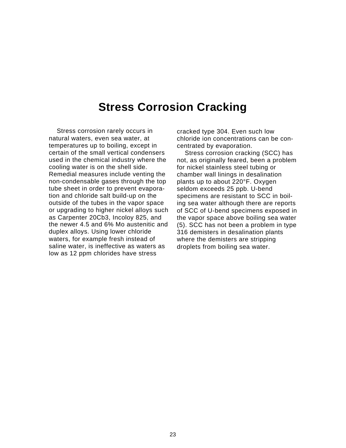### **Stress Corrosion Cracking**

Stress corrosion rarely occurs in natural waters, even sea water, at temperatures up to boiling, except in certain of the small vertical condensers used in the chemical industry where the cooling water is on the shell side. Remedial measures include venting the non-condensable gases through the top tube sheet in order to prevent evaporation and chloride salt build-up on the outside of the tubes in the vapor space or upgrading to higher nickel alloys such as Carpenter 20Cb3, Incoloy 825, and the newer 4.5 and 6% Mo austenitic and duplex alloys. Using lower chloride waters, for example fresh instead of saline water, is ineffective as waters as low as 12 ppm chlorides have stress

cracked type 304. Even such low chloride ion concentrations can be concentrated by evaporation.

Stress corrosion cracking (SCC) has not, as originally feared, been a problem for nickel stainless steel tubing or chamber wall linings in desalination plants up to about 220°F. Oxygen seldom exceeds 25 ppb. U-bend specimens are resistant to SCC in boiling sea water although there are reports of SCC of U-bend specimens exposed in the vapor space above boiling sea water (5). SCC has not been a problem in type 316 demisters in desalination plants where the demisters are stripping droplets from boiling sea water.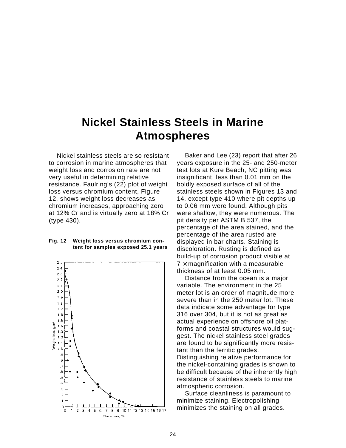## **Nickel Stainless Steels in Marine Atmospheres**

Nickel stainless steels are so resistant to corrosion in marine atmospheres that weight loss and corrosion rate are not very useful in determining relative resistance. Faulring's (22) plot of weight loss versus chromium content, Figure 12, shows weight loss decreases as chromium increases, approaching zero at 12% Cr and is virtually zero at 18% Cr (type 430).

#### **Fig. 12 Weight loss versus chromium content for samples exposed 25.1 years**

![](_page_28_Figure_3.jpeg)

Baker and Lee (23) report that after 26 years exposure in the 25- and 250-meter test lots at Kure Beach, NC pitting was insignificant, less than 0.01 mm on the boldly exposed surface of all of the stainless steels shown in Figures 13 and 14, except type 410 where pit depths up to 0.06 mm were found. Although pits were shallow, they were numerous. The pit density per ASTM B 537, the percentage of the area stained, and the percentage of the area rusted are displayed in bar charts. Staining is discoloration. Rusting is defined as build-up of corrosion product visible at  $7 \times$  magnification with a measurable thickness of at least 0.05 mm.

Distance from the ocean is a major variable. The environment in the 25 meter lot is an order of magnitude more severe than in the 250 meter lot. These data indicate some advantage for type 316 over 304, but it is not as great as actual experience on offshore oil platforms and coastal structures would suggest. The nickel stainless steel grades are found to be significantly more resistant than the ferritic grades. Distinguishing relative performance for the nickel-containing grades is shown to be difficult because of the inherently high resistance of stainless steels to marine atmospheric corrosion.

Surface cleanliness is paramount to minimize staining. Electropolishing minimizes the staining on all grades.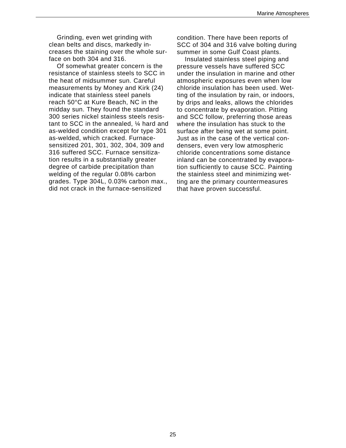Grinding, even wet grinding with clean belts and discs, markedly increases the staining over the whole surface on both 304 and 316.

Of somewhat greater concern is the resistance of stainless steels to SCC in the heat of midsummer sun. Careful measurements by Money and Kirk (24) indicate that stainless steel panels reach 50°C at Kure Beach, NC in the midday sun. They found the standard 300 series nickel stainless steels resistant to SCC in the annealed, ¼ hard and as-welded condition except for type 301 as-welded, which cracked. Furnacesensitized 201, 301, 302, 304, 309 and 316 suffered SCC. Furnace sensitization results in a substantially greater degree of carbide precipitation than welding of the regular 0.08% carbon grades. Type 304L, 0.03% carbon max., did not crack in the furnace-sensitized

condition. There have been reports of SCC of 304 and 316 valve bolting during summer in some Gulf Coast plants.

Insulated stainless steel piping and pressure vessels have suffered SCC under the insulation in marine and other atmospheric exposures even when low chloride insulation has been used. Wetting of the insulation by rain, or indoors, by drips and leaks, allows the chlorides to concentrate by evaporation. Pitting and SCC follow, preferring those areas where the insulation has stuck to the surface after being wet at some point. Just as in the case of the vertical condensers, even very low atmospheric chloride concentrations some distance inland can be concentrated by evaporation sufficiently to cause SCC. Painting the stainless steel and minimizing wetting are the primary countermeasures that have proven successful.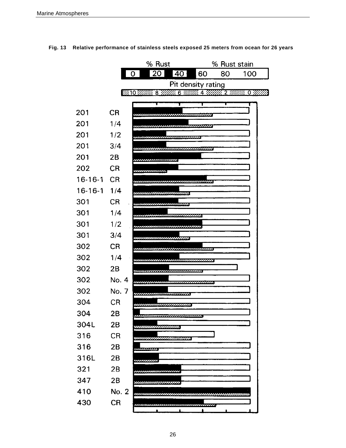![](_page_30_Figure_1.jpeg)

**Fig. 13 Relative performance of stainless steels exposed 25 meters from ocean for 26 years**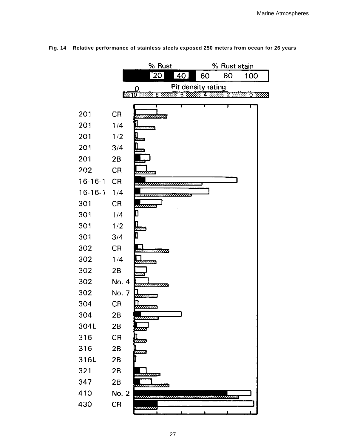![](_page_31_Figure_1.jpeg)

#### **Fig. 14 Relative performance of stainless steels exposed 250 meters from ocean for 26 years**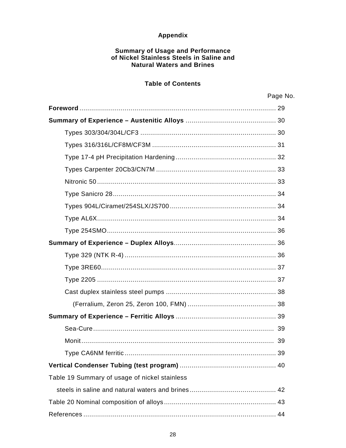#### Appendix

### **Summary of Usage and Performance<br>of Nickel Stainless Steels in Saline and Natural Waters and Brines**

#### **Table of Contents**

|                                               | Page No. |
|-----------------------------------------------|----------|
|                                               |          |
|                                               |          |
|                                               |          |
|                                               |          |
|                                               |          |
|                                               |          |
|                                               |          |
|                                               |          |
|                                               |          |
|                                               |          |
|                                               |          |
|                                               |          |
|                                               |          |
|                                               |          |
|                                               |          |
|                                               |          |
|                                               |          |
|                                               |          |
|                                               |          |
|                                               |          |
|                                               |          |
|                                               |          |
| Table 19 Summary of usage of nickel stainless |          |
|                                               |          |
|                                               |          |
|                                               |          |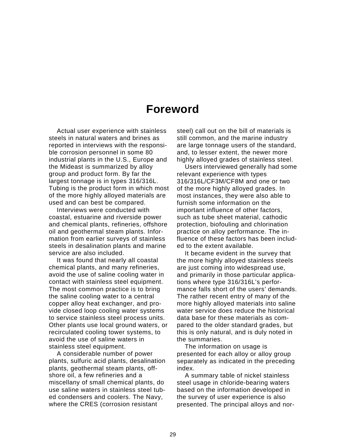### **Foreword**

Actual user experience with stainless steels in natural waters and brines as reported in interviews with the responsible corrosion personnel in some 80 industrial plants in the U.S., Europe and the Mideast is summarized by alloy group and product form. By far the largest tonnage is in types 316/316L. Tubing is the product form in which most of the more highly alloyed materials are used and can best be compared.

Interviews were conducted with coastal, estuarine and riverside power and chemical plants, refineries, offshore oil and geothermal steam plants. Information from earlier surveys of stainless steels in desalination plants and marine service are also included.

It was found that nearly all coastal chemical plants, and many refineries, avoid the use of saline cooling water in contact with stainless steel equipment. The most common practice is to bring the saline cooling water to a central copper alloy heat exchanger, and provide closed loop cooling water systems to service stainless steel process units. Other plants use local ground waters, or recirculated cooling tower systems, to avoid the use of saline waters in stainless steel equipment.

A considerable number of power plants, sulfuric acid plants, desalination plants, geothermal steam plants, offshore oil, a few refineries and a miscellany of small chemical plants, do use saline waters in stainless steel tubed condensers and coolers. The Navy, where the CRES (corrosion resistant

steel) call out on the bill of materials is still common, and the marine industry are large tonnage users of the standard, and, to lesser extent, the newer more highly alloyed grades of stainless steel.

Users interviewed generally had some relevant experience with types 316/316L/CF3M/CF8M and one or two of the more highly alloyed grades. In most instances, they were also able to furnish some information on the important influence of other factors, such as tube sheet material, cathodic protection, biofouling and chlorination practice on alloy performance. The influence of these factors has been included to the extent available.

It became evident in the survey that the more highly alloyed stainless steels are just coming into widespread use, and primarily in those particular applications where type 316/316L's performance falls short of the users' demands. The rather recent entry of many of the more highly alloyed materials into saline water service does reduce the historical data base for these materials as compared to the older standard grades, but this is only natural, and is duly noted in the summaries.

The information on usage is presented for each alloy or alloy group separately as indicated in the preceding index.

A summary table of nickel stainless steel usage in chloride-bearing waters based on the information developed in the survey of user experience is also presented. The principal alloys and nor-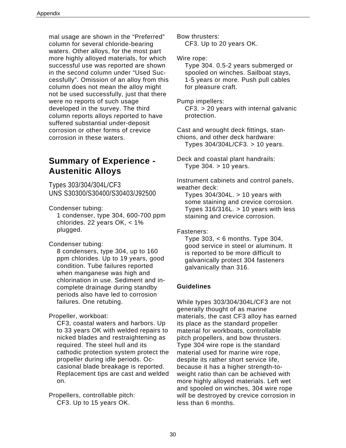mal usage are shown in the "Preferred" column for several chloride-bearing waters. Other alloys, for the most part more highly alloyed materials, for which successful use was reported are shown in the second column under "Used Successfully". Omission of an alloy from this column does not mean the alloy might not be used successfully, just that there were no reports of such usage developed in the survey. The third column reports alloys reported to have suffered substantial under-deposit corrosion or other forms of crevice corrosion in these waters.

### **Summary of Experience - Austenitic Alloys**

Types 303/304/304L/CF3 UNS S30300/S30400/S30403/J92500

Condenser tubing:

1 condenser, type 304, 600-700 ppm chlorides. 22 years OK, < 1% plugged.

Condenser tubing:

8 condensers, type 304, up to 160 ppm chlorides. Up to 19 years, good condition. Tube failures reported when manganese was high and chlorination in use. Sediment and incomplete drainage during standby periods also have led to corrosion failures. One retubing.

Propeller, workboat:

CF3, coastal waters and harbors. Up to 33 years OK with welded repairs to nicked blades and restraightening as required. The steel hull and its cathodic protection system protect the propeller during idle periods. Occasional blade breakage is reported. Replacement tips are cast and welded on.

Propellers, controllable pitch: CF3. Up to 15 years OK.

Bow thrusters: CF3. Up to 20 years OK.

Wire rope:

Type 304. 0.5-2 years submerged or spooled on winches. Sailboat stays, 1-5 years or more. Push pull cables for pleasure craft.

Pump impellers:

CF3. > 20 years with internal galvanic protection.

Cast and wrought deck fittings, stanchions, and other deck hardware: Types 304/304L/CF3. > 10 years.

Deck and coastal plant handrails: Type 304. > 10 years.

Instrument cabinets and control panels, weather deck:

Types  $304/304L. > 10$  years with some staining and crevice corrosion. Types  $316/316L. > 10$  years with less staining and crevice corrosion.

Fasteners:

Type 303,  $< 6$  months. Type 304, good service in steel or aluminum. It is reported to be more difficult to galvanically protect 304 fasteners galvanically than 316.

#### **Guidelines**

While types 303/304/304L/CF3 are not generally thought of as marine materials, the cast CF3 alloy has earned its place as the standard propeller material for workboats, controllable pitch propellers, and bow thrusters. Type 304 wire rope is the standard material used for marine wire rope, despite its rather short service life, because it has a higher strength-toweight ratio than can be achieved with more highly alloyed materials. Left wet and spooled on winches, 304 wire rope will be destroyed by crevice corrosion in less than 6 months.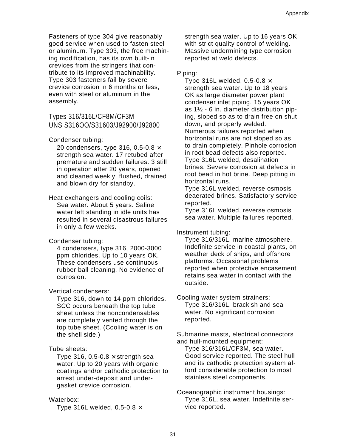Fasteners of type 304 give reasonably good service when used to fasten steel or aluminum. Type 303, the free machining modification, has its own built-in crevices from the stringers that contribute to its improved machinability. Type 303 fasteners fail by severe crevice corrosion in 6 months or less, even with steel or aluminum in the assembly.

#### Types 316/316L/CF8M/CF3M UNS S316OO/S31603/J92900/J92800

#### Condenser tubing:

20 condensers, type 316, 0.5-0.8  $\times$ strength sea water. 17 retubed after premature and sudden failures. 3 still in operation after 20 years, opened and cleaned weekly; flushed, drained and blown dry for standby.

#### Heat exchangers and cooling coils: Sea water. About 5 years. Saline water left standing in idle units has resulted in several disastrous failures in only a few weeks.

#### Condenser tubing:

4 condensers, type 316, 2000-3000 ppm chlorides. Up to 10 years OK. These condensers use continuous rubber ball cleaning. No evidence of corrosion.

#### Vertical condensers:

Type 316, down to 14 ppm chlorides. SCC occurs beneath the top tube sheet unless the noncondensables are completely vented through the top tube sheet. (Cooling water is on the shell side.)

#### Tube sheets:

Type 316, 0.5-0.8  $\times$  strength sea water. Up to 20 years with organic coatings and/or cathodic protection to arrest under-deposit and undergasket crevice corrosion.

#### Waterbox:

Type 316L welded, 0.5-0.8  $\times$ 

strength sea water. Up to 16 years OK with strict quality control of welding. Massive undermining type corrosion reported at weld defects.

#### Piping:

Type 316L welded, 0.5-0.8  $\times$ strength sea water. Up to 18 years OK as large diameter power plant condenser inlet piping. 15 years OK as 1½ - 6 in. diameter distribution piping, sloped so as to drain free on shut down, and properly welded. Numerous failures reported when horizontal runs are not sloped so as to drain completely. Pinhole corrosion in root bead defects also reported. Type 316L welded, desalination brines. Severe corrosion at defects in root bead in hot brine. Deep pitting in horizontal runs.

Type 316L welded, reverse osmosis deaerated brines. Satisfactory service reported.

Type 316L welded, reverse osmosis sea water. Multiple failures reported.

Instrument tubing:

Type 316/316L, marine atmosphere. Indefinite service in coastal plants, on weather deck of ships, and offshore platforms. Occasional problems reported when protective encasement retains sea water in contact with the outside.

Cooling water system strainers: Type 316/316L, brackish and sea water. No significant corrosion reported.

Submarine masts, electrical connectors and hull-mounted equipment:

Type 316/316L/CF3M, sea water. Good service reported. The steel hull and its cathodic protection system afford considerable protection to most stainless steel components.

Oceanographic instrument housings: Type 316L, sea water. Indefinite service reported.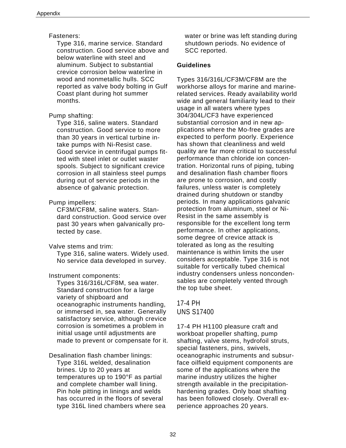#### Fasteners:

Type 316, marine service. Standard construction. Good service above and below waterline with steel and aluminum. Subject to substantial crevice corrosion below waterline in wood and nonmetallic hulls. SCC reported as valve body bolting in Gulf Coast plant during hot summer months.

#### Pump shafting:

Type 316, saline waters. Standard construction. Good service to more than 30 years in vertical turbine intake pumps with Ni-Resist case. Good service in centrifugal pumps fitted with steel inlet or outlet waster spools. Subject to significant crevice corrosion in all stainless steel pumps during out of service periods in the absence of galvanic protection.

#### Pump impellers:

CF3M/CF8M, saline waters. Standard construction. Good service over past 30 years when galvanically protected by case.

#### Valve stems and trim:

Type 316, saline waters. Widely used. No service data developed in survey.

#### Instrument components:

Types 316/316L/CF8M, sea water. Standard construction for a large variety of shipboard and oceanographic instruments handling, or immersed in, sea water. Generally satisfactory service, although crevice corrosion is sometimes a problem in initial usage until adjustments are made to prevent or compensate for it.

#### Desalination flash chamber linings: Type 316L welded, desalination brines. Up to 20 years at temperatures up to 190°F as partial and complete chamber wall lining. Pin hole pitting in linings and welds has occurred in the floors of several type 316L lined chambers where sea

water or brine was left standing during shutdown periods. No evidence of SCC reported.

#### **Guidelines**

Types 316/316L/CF3M/CF8M are the workhorse alloys for marine and marinerelated services. Ready availability world wide and general familiarity lead to their usage in all waters where types 304/304L/CF3 have experienced substantial corrosion and in new applications where the Mo-free grades are expected to perform poorly. Experience has shown that cleanliness and weld quality are far more critical to successful performance than chloride ion concentration. Horizontal runs of piping, tubing and desalination flash chamber floors are prone to corrosion, and costly failures, unless water is completely drained during shutdown or standby periods. In many applications galvanic protection from aluminum, steel or Ni-Resist in the same assembly is responsible for the excellent long term performance. In other applications, some degree of crevice attack is tolerated as long as the resulting maintenance is within limits the user considers acceptable. Type 316 is not suitable for vertically tubed chemical industry condensers unless noncondensables are completely vented through the top tube sheet.

#### 17-4 PH UNS S17400

17-4 PH H1100 pleasure craft and workboat propeller shafting, pump shafting, valve stems, hydrofoil struts, special fasteners, pins, swivels, oceanographic instruments and subsurface oilfield equipment components are some of the applications where the marine industry utilizes the higher strength available in the precipitationhardening grades. Only boat shafting has been followed closely. Overall experience approaches 20 years.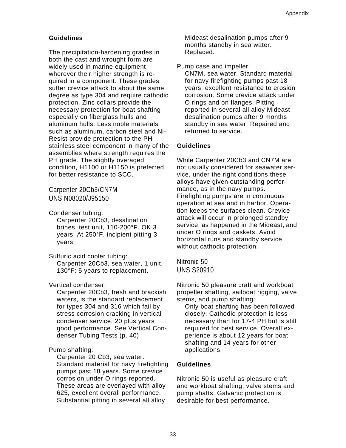#### **Guidelines**

The precipitation-hardening grades in both the cast and wrought form are widely used in marine equipment wherever their higher strength is required in a component. These grades suffer crevice attack to about the same degree as type 304 and require cathodic protection. Zinc collars provide the necessary protection for boat shafting especially on fiberglass hulls and aluminum hulls. Less noble materials such as aluminum, carbon steel and Ni-Resist provide protection to the PH stainless steel component in many of the assemblies where strength requires the PH grade. The slightly overaged condition, H1100 or H1150 is preferred for better resistance to SCC.

Carpenter 20Cb3/CN7M UNS N08020/J95150

Condenser tubing:

Carpenter 20Cb3, desalination brines, test unit, 110-200°F. OK 3 years. At 250°F, incipient pitting 3 years.

Sulfuric acid cooler tubing:

Carpenter 20Cb3, sea water, 1 unit, 130°F: 5 years to replacement.

Vertical condenser:

Carpenter 20Cb3, fresh and brackish waters, is the standard replacement for types 304 and 316 which fail by stress corrosion cracking in vertical condenser service. 20 plus years good performance. See Vertical Condenser Tubing Tests (p. 40)

#### Pump shafting:

Carpenter 20 Cb3, sea water. Standard material for navy firefighting pumps past 18 years. Some crevice corrosion under O rings reported. These areas are overlayed with alloy 625, excellent overall performance. Substantial pitting in several all alloy

Mideast desalination pumps after 9 months standby in sea water. Replaced.

Pump case and impeller:

CN7M, sea water. Standard material for navy firefighting pumps past 18 years, excellent resistance to erosion corrosion. Some crevice attack under O rings and on flanges. Pitting reported in several all alloy Mideast desalination pumps after 9 months standby in sea water. Repaired and returned to service.

#### **Guidelines**

While Carpenter 20Cb3 and CN7M are not usually considered for seawater service, under the right conditions these alloys have given outstanding performance, as in the navy pumps. Firefighting pumps are in continuous operation at sea and in harbor. Operation keeps the surfaces clean. Crevice attack will occur in prolonged standby service, as happened in the Mideast, and under O rings and gaskets. Avoid horizontal runs and standby service without cathodic protection.

Nitronic 50 UNS S20910

Nitronic 50 pleasure craft and workboat propeller shafting, sailboat rigging, valve stems, and pump shafting:

Only boat shafting has been followed closely. Cathodic protection is less necessary than for 17-4 PH but is still required for best service. Overall experience is about 12 years for boat shafting and 14 years for other applications.

#### **Guidelines**

Nitronic 50 is useful as pleasure craft and workboat shafting, valve stems and pump shafts. Galvanic protection is desirable for best performance.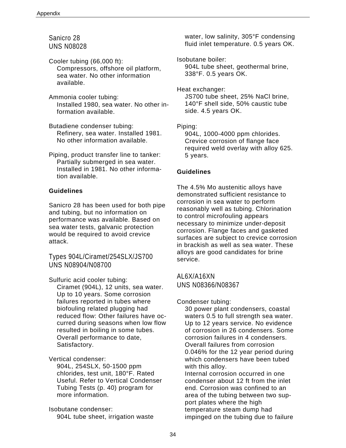Sanicro 28 UNS N08028

Cooler tubing (66,000 ft): Compressors, offshore oil platform, sea water. No other information available.

Ammonia cooler tubing: Installed 1980, sea water. No other information available.

Butadiene condenser tubing: Refinery, sea water. Installed 1981. No other information available.

Piping, product transfer line to tanker: Partially submerged in sea water. Installed in 1981. No other information available.

#### **Guidelines**

Sanicro 28 has been used for both pipe and tubing, but no information on performance was available. Based on sea water tests, galvanic protection would be required to avoid crevice attack.

Types 904L/Ciramet/254SLX/JS700 UNS N08904/N08700

Sulfuric acid cooler tubing:

Ciramet (904L), 12 units, sea water. Up to 10 years. Some corrosion failures reported in tubes where biofouling related plugging had reduced flow: Other failures have occurred during seasons when low flow resulted in boiling in some tubes. Overall performance to date, Satisfactory.

Vertical condenser:

904L, 254SLX, 50-1500 ppm chlorides, test unit, 180°F. Rated Useful. Refer to Vertical Condenser Tubing Tests (p. 40) program for more information.

Isobutane condenser: 904L tube sheet, irrigation waste water, low salinity, 305°F condensing fluid inlet temperature. 0.5 years OK.

Isobutane boiler: 904L tube sheet, geothermal brine, 338°F. 0.5 years OK.

Heat exchanger: JS700 tube sheet, 25% NaCl brine, 140°F shell side, 50% caustic tube side. 4.5 years OK.

Piping:

904L, 1000-4000 ppm chlorides. Crevice corrosion of flange face required weld overlay with alloy 625. 5 years.

#### **Guidelines**

The 4.5% Mo austenitic alloys have demonstrated sufficient resistance to corrosion in sea water to perform reasonably well as tubing. Chlorination to control microfouling appears necessary to minimize under-deposit corrosion. Flange faces and gasketed surfaces are subject to crevice corrosion in brackish as well as sea water. These alloys are good candidates for brine service.

AL6X/A16XN UNS N08366/N08367

Condenser tubing:

30 power plant condensers, coastal waters 0.5 to full strength sea water. Up to 12 years service. No evidence of corrosion in 26 condensers. Some corrosion failures in 4 condensers. Overall failures from corrosion 0.046% for the 12 year period during which condensers have been tubed with this alloy. Internal corrosion occurred in one condenser about 12 ft from the inlet

end. Corrosion was confined to an area of the tubing between two support plates where the high temperature steam dump had impinged on the tubing due to failure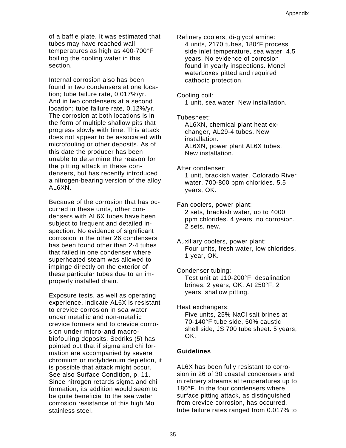of a baffle plate. It was estimated that tubes may have reached wall temperatures as high as 400-700°F boiling the cooling water in this section.

Internal corrosion also has been found in two condensers at one location; tube failure rate, 0.017%/yr. And in two condensers at a second location; tube failure rate, 0.12%/yr. The corrosion at both locations is in the form of multiple shallow pits that progress slowly with time. This attack does not appear to be associated with microfouling or other deposits. As of this date the producer has been unable to determine the reason for the pitting attack in these condensers, but has recently introduced a nitrogen-bearing version of the alloy AL6XN.

Because of the corrosion that has occurred in these units, other condensers with AL6X tubes have been subject to frequent and detailed inspection. No evidence of significant corrosion in the other 26 condensers has been found other than 2-4 tubes that failed in one condenser where superheated steam was allowed to impinge directly on the exterior of these particular tubes due to an improperly installed drain.

Exposure tests, as well as operating experience, indicate AL6X is resistant to crevice corrosion in sea water under metallic and non-metallic crevice formers and to crevice corrosion under micro-and macrobiofouling deposits. Sedriks (5) has pointed out that if sigma and chi formation are accompanied by severe chromium or molybdenum depletion, it is possible that attack might occur. See also Surface Condition, p. 11. Since nitrogen retards sigma and chi formation, its addition would seem to be quite beneficial to the sea water corrosion resistance of this high Mo stainless steel.

Refinery coolers, di-glycol amine: 4 units, 2170 tubes, 180°F process side inlet temperature, sea water. 4.5 years. No evidence of corrosion found in yearly inspections. Monel waterboxes pitted and required cathodic protection.

Cooling coil:

1 unit, sea water. New installation.

Tubesheet:

AL6XN, chemical plant heat exchanger, AL29-4 tubes. New installation. AL6XN, power plant AL6X tubes. New installation.

After condenser: 1 unit, brackish water. Colorado River water, 700-800 ppm chlorides. 5.5 years, OK.

Fan coolers, power plant: 2 sets, brackish water, up to 4000 ppm chlorides. 4 years, no corrosion. 2 sets, new.

Auxiliary coolers, power plant: Four units, fresh water, low chlorides. 1 year, OK.

Condenser tubing: Test unit at 110-200°F, desalination brines. 2 years, OK. At 250°F, 2 years, shallow pitting.

Heat exchangers:

Five units, 25% NaCl salt brines at 70-140°F tube side, 50% caustic shell side, JS 700 tube sheet. 5 years, OK.

#### **Guidelines**

AL6X has been fully resistant to corrosion in 26 of 30 coastal condensers and in refinery streams at temperatures up to 180°F. In the four condensers where surface pitting attack, as distinguished from crevice corrosion, has occurred, tube failure rates ranged from 0.017% to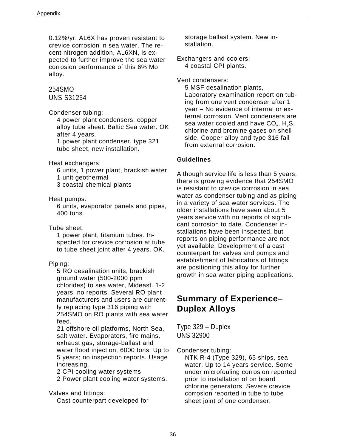0.12%/yr. AL6X has proven resistant to crevice corrosion in sea water. The recent nitrogen addition, AL6XN, is expected to further improve the sea water corrosion performance of this 6% Mo alloy.

#### 254SMO UNS S31254

Condenser tubing:

4 power plant condensers, copper alloy tube sheet. Baltic Sea water. OK after 4 years.

1 power plant condenser, type 321 tube sheet, new installation.

Heat exchangers:

- 6 units, 1 power plant, brackish water.
- 1 unit geothermal
- 3 coastal chemical plants

Heat pumps:

6 units, evaporator panels and pipes, 400 tons.

Tube sheet:

1 power plant, titanium tubes. Inspected for crevice corrosion at tube to tube sheet joint after 4 years. OK.

#### Piping:

5 RO desalination units, brackish ground water (500-2000 ppm chlorides) to sea water, Mideast. 1-2 years, no reports. Several RO plant manufacturers and users are currently replacing type 316 piping with 254SMO on RO plants with sea water feed.

21 offshore oil platforms, North Sea, salt water. Evaporators, fire mains, exhaust gas, storage-ballast and water flood injection, 6000 tons: Up to 5 years; no inspection reports. Usage increasing.

2 CPI cooling water systems

2 Power plant cooling water systems.

Valves and fittings: Cast counterpart developed for

storage ballast system. New installation.

Exchangers and coolers: 4 coastal CPI plants.

Vent condensers:

5 MSF desalination plants, Laboratory examination report on tubing from one vent condenser after 1 year – No evidence of internal or external corrosion. Vent condensers are sea water cooled and have  $CO<sub>2</sub>$ , H<sub>2</sub>S, chlorine and bromine gases on shell side. Copper alloy and type 316 fail from external corrosion.

#### **Guidelines**

Although service life is less than 5 years, there is growing evidence that 254SMO is resistant to crevice corrosion in sea water as condenser tubing and as piping in a variety of sea water services. The older installations have seen about 5 years service with no reports of significant corrosion to date. Condenser installations have been inspected, but reports on piping performance are not yet available. Development of a cast counterpart for valves and pumps and establishment of fabricators of fittings are positioning this alloy for further growth in sea water piping applications.

### **Summary of Experience– Duplex Alloys**

Type 329 – Duplex UNS 32900

Condenser tubing:

NTK R-4 (Type 329), 65 ships, sea water. Up to 14 years service. Some under microfouling corrosion reported prior to installation of on board chlorine generators. Severe crevice corrosion reported in tube to tube sheet joint of one condenser.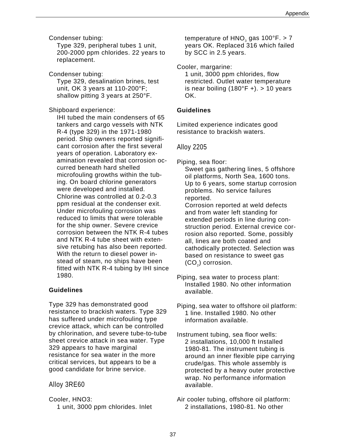Condenser tubing:

Type 329, peripheral tubes 1 unit, 200-2000 ppm chlorides. 22 years to replacement.

Condenser tubing: Type 329, desalination brines, test unit, OK 3 years at 110-200°F; shallow pitting 3 years at 250°F.

Shipboard experience:

IHI tubed the main condensers of 65 tankers and cargo vessels with NTK R-4 (type 329) in the 1971-1980 period. Ship owners reported significant corrosion after the first several years of operation. Laboratory examination revealed that corrosion occurred beneath hard shelled microfouling growths within the tubing. On board chlorine generators were developed and installed. Chlorine was controlled at 0.2-0.3 ppm residual at the condenser exit. Under microfouling corrosion was reduced to limits that were tolerable for the ship owner. Severe crevice corrosion between the NTK R-4 tubes and NTK R-4 tube sheet with extensive retubing has also been reported. With the return to diesel power instead of steam, no ships have been fitted with NTK R-4 tubing by IHI since 1980.

#### **Guidelines**

Type 329 has demonstrated good resistance to brackish waters. Type 329 has suffered under microfouling type crevice attack, which can be controlled by chlorination, and severe tube-to-tube sheet crevice attack in sea water. Type 329 appears to have marginal resistance for sea water in the more critical services, but appears to be a good candidate for brine service.

#### Alloy 3RE60

Cooler, HNO3: 1 unit, 3000 ppm chlorides. Inlet temperature of  $HNO<sub>3</sub>$  gas 100°F. > 7 years OK. Replaced 316 which failed by SCC in 2.5 years.

Cooler, margarine: 1 unit, 3000 ppm chlorides, flow restricted. Outlet water temperature

is near boiling  $(180^{\circ}F +)$ . > 10 years OK.

#### **Guidelines**

Limited experience indicates good resistance to brackish waters.

#### Alloy 2205

Piping, sea floor:

Sweet gas gathering lines, 5 offshore oil platforms, North Sea, 1600 tons. Up to 6 years, some startup corrosion problems. No service failures reported.

Corrosion reported at weld defects and from water left standing for extended periods in line during construction period. External crevice corrosion also reported. Some, possibly all, lines are both coated and cathodically protected. Selection was based on resistance to sweet gas (CO<sub>2</sub>) corrosion.

Piping, sea water to process plant: Installed 1980. No other information available.

Piping, sea water to offshore oil platform: 1 line. Installed 1980. No other information available.

Instrument tubing, sea floor wells: 2 installations, 10,000 ft Installed 1980-81. The instrument tubing is around an inner flexible pipe carrying crude/gas. This whole assembly is protected by a heavy outer protective wrap. No performance information available.

Air cooler tubing, offshore oil platform: 2 installations, 1980-81. No other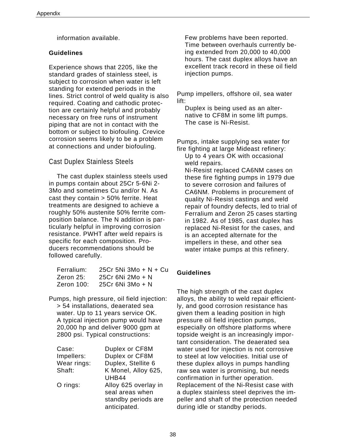information available.

#### **Guidelines**

Experience shows that 2205, like the standard grades of stainless steel, is subject to corrosion when water is left standing for extended periods in the lines. Strict control of weld quality is also required. Coating and cathodic protection are certainly helpful and probably necessary on free runs of instrument piping that are not in contact with the bottom or subject to biofouling. Crevice corrosion seems likely to be a problem at connections and under biofouling.

#### Cast Duplex Stainless Steels

The cast duplex stainless steels used in pumps contain about 25Cr 5-6Ni 2- 3Mo and sometimes Cu and/or N. As cast they contain > 50% ferrite. Heat treatments are designed to achieve a roughly 50% austenite 50% ferrite composition balance. The N addition is particularly helpful in improving corrosion resistance. PWHT after weld repairs is specific for each composition. Producers recommendations should be followed carefully.

| Ferralium:    | 25Cr 5Ni 3Mo + $N$ + Cu |
|---------------|-------------------------|
| Zeron 25:     | 25Cr 6Ni 2Mo + N        |
| Zeron $100$ : | 25Cr 6Ni 3Mo + N        |

Pumps, high pressure, oil field injection: > 54 installations, deaerated sea water. Up to 11 years service OK. A typical injection pump would have 20,000 hp and deliver 9000 gpm at 2800 psi. Typical constructions:

| Case:       | Duplex or CF8M       |
|-------------|----------------------|
| Impellers:  | Duplex or CF8M       |
| Wear rings: | Duplex, Stellite 6   |
| Shaft:      | K Monel, Alloy 625,  |
|             | UHB44                |
| O rings:    | Alloy 625 overlay in |
|             | seal areas when      |
|             | standby periods are  |
|             | anticipated.         |

Few problems have been reported. Time between overhauls currently being extended from 20,000 to 40,000 hours. The cast duplex alloys have an excellent track record in these oil field injection pumps.

Pump impellers, offshore oil, sea water lift:

Duplex is being used as an alternative to CF8M in some lift pumps. The case is Ni-Resist.

Pumps, intake supplying sea water for fire fighting at large Mideast refinery:

Up to 4 years OK with occasional weld repairs.

Ni-Resist replaced CA6NM cases on these fire fighting pumps in 1979 due to severe corrosion and failures of CA6NM. Problems in procurement of quality Ni-Resist castings and weld repair of foundry defects, led to trial of Ferralium and Zeron 25 cases starting in 1982. As of 1985, cast duplex has replaced Ni-Resist for the cases, and is an accepted alternate for the impellers in these, and other sea water intake pumps at this refinery.

#### **Guidelines**

The high strength of the cast duplex alloys, the ability to weld repair efficiently, and good corrosion resistance has given them a leading position in high pressure oil field injection pumps, especially on offshore platforms where topside weight is an increasingly important consideration. The deaerated sea water used for injection is not corrosive to steel at low velocities. Initial use of these duplex alloys in pumps handling raw sea water is promising, but needs confirmation in further operation. Replacement of the Ni-Resist case with a duplex stainless steel deprives the impeller and shaft of the protection needed during idle or standby periods.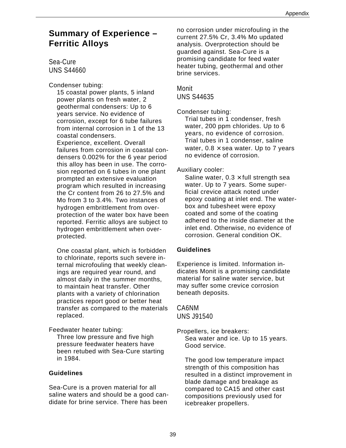### **Summary of Experience – Ferritic Alloys**

Sea-Cure UNS S44660

Condenser tubing:

15 coastal power plants, 5 inland power plants on fresh water, 2 geothermal condensers: Up to 6 years service. No evidence of corrosion, except for 6 tube failures from internal corrosion in 1 of the 13 coastal condensers.

Experience, excellent. Overall failures from corrosion in coastal condensers 0.002% for the 6 year period this alloy has been in use. The corrosion reported on 6 tubes in one plant prompted an extensive evaluation program which resulted in increasing the Cr content from 26 to 27.5% and Mo from 3 to 3.4%. Two instances of hydrogen embrittlement from overprotection of the water box have been reported. Ferritic alloys are subject to hydrogen embrittlement when overprotected.

One coastal plant, which is forbidden to chlorinate, reports such severe internal microfouling that weekly cleanings are required year round, and almost daily in the summer months, to maintain heat transfer. Other plants with a variety of chlorination practices report good or better heat transfer as compared to the materials replaced.

Feedwater heater tubing:

Three low pressure and five high pressure feedwater heaters have been retubed with Sea-Cure starting in 1984.

#### **Guidelines**

Sea-Cure is a proven material for all saline waters and should be a good candidate for brine service. There has been

no corrosion under microfouling in the current 27.5% Cr, 3.4% Mo updated analysis. Overprotection should be guarded against. Sea-Cure is a promising candidate for feed water heater tubing, geothermal and other brine services.

### Monit UNS S44635

Condenser tubing:

Trial tubes in 1 condenser, fresh water, 200 ppm chlorides. Up to 6 years, no evidence of corrosion. Trial tubes in 1 condenser, saline water,  $0.8 \times$  sea water. Up to 7 years no evidence of corrosion.

#### Auxiliary cooler:

Saline water,  $0.3 \times$  full strength sea water. Up to 7 years. Some superficial crevice attack noted under epoxy coating at inlet end. The waterbox and tubesheet were epoxy coated and some of the coating adhered to the inside diameter at the inlet end. Otherwise, no evidence of corrosion. General condition OK.

#### **Guidelines**

Experience is limited. Information indicates Monit is a promising candidate material for saline water service, but may suffer some crevice corrosion beneath deposits.

#### CA6NM UNS J91540

Propellers, ice breakers: Sea water and ice. Up to 15 years. Good service.

The good low temperature impact strength of this composition has resulted in a distinct improvement in blade damage and breakage as compared to CA15 and other cast compositions previously used for icebreaker propellers.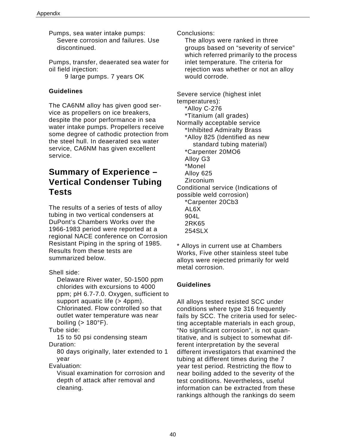Pumps, sea water intake pumps: Severe corrosion and failures. Use discontinued.

Pumps, transfer, deaerated sea water for oil field injection: 9 large pumps. 7 years OK

#### **Guidelines**

The CA6NM alloy has given good service as propellers on ice breakers, despite the poor performance in sea water intake pumps. Propellers receive some degree of cathodic protection from the steel hull. In deaerated sea water service, CA6NM has given excellent service.

### **Summary of Experience – Vertical Condenser Tubing Tests**

The results of a series of tests of alloy tubing in two vertical condensers at DuPont's Chambers Works over the 1966-1983 period were reported at a regional NACE conference on Corrosion Resistant Piping in the spring of 1985. Results from these tests are summarized below.

Shell side:

Delaware River water, 50-1500 ppm chlorides with excursions to 4000 ppm; pH 6.7-7.0. Oxygen, sufficient to support aquatic life (> 4ppm). Chlorinated. Flow controlled so that outlet water temperature was near boiling  $(> 180^\circ)$ .

Tube side:

15 to 50 psi condensing steam Duration:

80 days originally, later extended to 1 year

Evaluation:

Visual examination for corrosion and depth of attack after removal and cleaning.

Conclusions:

The alloys were ranked in three groups based on "severity of service" which referred primarily to the process inlet temperature. The criteria for rejection was whether or not an alloy would corrode.

Severe service (highest inlet temperatures): \*Alloy C-276 \*Titanium (all grades) Normally acceptable service \*Inhibited Admiralty Brass \*Alloy 825 (Identified as new standard tubing material) \*Carpenter 20MO6 Alloy G3 \*Monel Alloy 625 Zirconium Conditional service (Indications of possible weld corrosion) \*Carpenter 20Cb3 AL6X 904L 2RK65 254SLX

\* Alloys in current use at Chambers Works, Five other stainless steel tube alloys were rejected primarily for weld metal corrosion.

#### **Guidelines**

All alloys tested resisted SCC under conditions where type 316 frequently fails by SCC. The criteria used for selecting acceptable materials in each group, "No significant corrosion", is not quantitative, and is subject to somewhat different interpretation by the several different investigators that examined the tubing at different times during the 7 year test period. Restricting the flow to near boiling added to the severity of the test conditions. Nevertheless, useful information can be extracted from these rankings although the rankings do seem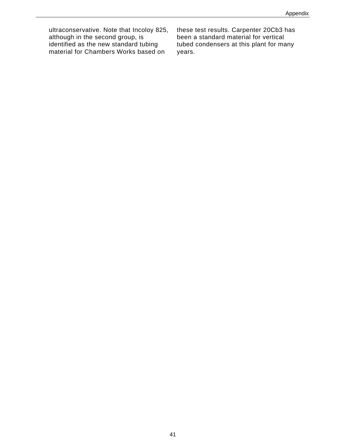ultraconservative. Note that Incoloy 825, although in the second group, is identified as the new standard tubing material for Chambers Works based on

these test results. Carpenter 20Cb3 has been a standard material for vertical tubed condensers at this plant for many years.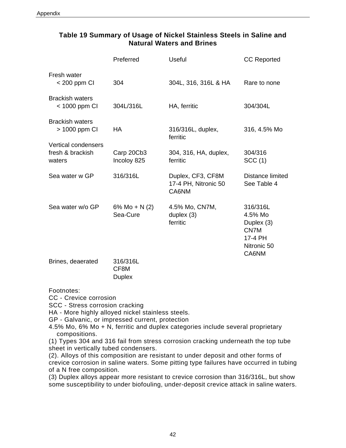#### **Table 19 Summary of Usage of Nickel Stainless Steels in Saline and Natural Waters and Brines**

|                                                          | Preferred                   | <b>Useful</b>                                      | <b>CC Reported</b>                                                           |
|----------------------------------------------------------|-----------------------------|----------------------------------------------------|------------------------------------------------------------------------------|
| Fresh water<br>< 200 ppm CI                              | 304                         | 304L, 316, 316L & HA                               | Rare to none                                                                 |
| <b>Brackish waters</b><br>$<$ 1000 ppm CI                | 304L/316L                   | HA, ferritic                                       | 304/304L                                                                     |
| <b>Brackish waters</b><br>> 1000 ppm CI                  | НA                          | 316/316L, duplex,<br>ferritic                      | 316, 4.5% Mo                                                                 |
| <b>Vertical condensers</b><br>fresh & brackish<br>waters | Carp 20Cb3<br>Incoloy 825   | 304, 316, HA, duplex,<br>ferritic                  | 304/316<br>SCC(1)                                                            |
| Sea water w GP                                           | 316/316L                    | Duplex, CF3, CF8M<br>17-4 PH, Nitronic 50<br>CA6NM | Distance limited<br>See Table 4                                              |
| Sea water w/o GP                                         | 6% Mo + N $(2)$<br>Sea-Cure | 4.5% Mo, CN7M,<br>duplex $(3)$<br>ferritic         | 316/316L<br>4.5% Mo<br>Duplex (3)<br>CN7M<br>17-4 PH<br>Nitronic 50<br>CA6NM |
| Brines, deaerated                                        | 316/316L<br>CF8M            |                                                    |                                                                              |

Footnotes:

CC - Crevice corrosion

SCC - Stress corrosion cracking

HA - More highly alloyed nickel stainless steels.

**Duplex** 

GP - Galvanic, or impressed current, protection

4.5% Mo, 6% Mo + N, ferritic and duplex categories include several proprietary compositions.

(1) Types 304 and 316 fail from stress corrosion cracking underneath the top tube sheet in vertically tubed condensers.

(2). Alloys of this composition are resistant to under deposit and other forms of crevice corrosion in saline waters. Some pitting type failures have occurred in tubing of a N free composition.

(3) Duplex alloys appear more resistant to crevice corrosion than 316/316L, but show some susceptibility to under biofouling, under-deposit crevice attack in saline waters.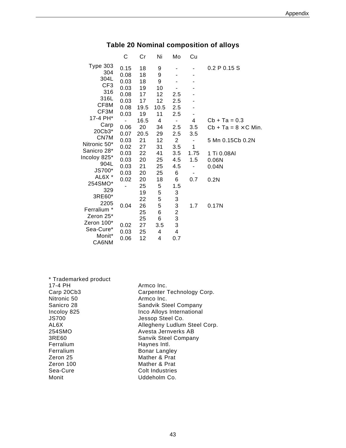|                 | С    | Cr   | Ni   | Mo                    | Cu                           |                             |
|-----------------|------|------|------|-----------------------|------------------------------|-----------------------------|
| <b>Type 303</b> | 0.15 | 18   | 9    |                       |                              | 0.2 P 0.15 S                |
| 304             | 0.08 | 18   | 9    |                       |                              |                             |
| 304L            | 0.03 | 18   | 9    |                       |                              |                             |
| CF <sub>3</sub> | 0.03 | 19   | 10   |                       |                              |                             |
| 316             | 0.08 | 17   | 12   | 2.5                   |                              |                             |
| 316L            | 0.03 | 17   | 12   | 2.5                   |                              |                             |
| CF8M            | 0.08 | 19.5 | 10.5 | 2.5                   |                              |                             |
| CF3M            | 0.03 | 19   | 11   | 2.5                   |                              |                             |
| 17-4 PH*        |      | 16.5 | 4    | $\blacksquare$        | 4                            | $Cb + Ta = 0.3$             |
| Carp            | 0.06 | 20   | 34   | 2.5                   | 3.5                          | $Cb + Ta = 8 \times C$ Min. |
| 20Cb3*          | 0.07 | 20.5 | 29   |                       |                              |                             |
| CN7M            | 0.03 | 21   | 12   | 2.5<br>$\overline{2}$ | 3.5                          |                             |
| Nitronic 50*    | 0.02 | 27   | 31   | 3.5                   | $\blacksquare$<br>1          | 5 Mn 0.15Cb 0.2N            |
| Sanicro 28*     |      | 22   |      |                       |                              |                             |
| Incoloy 825*    | 0.03 |      | 41   | 3.5                   | 1.75                         | 1 Ti 0.08AI                 |
| 904L            | 0.03 | 20   | 25   | 4.5                   | 1.5                          | 0.06N                       |
| JS700*          | 0.03 | 21   | 25   | 4.5                   | $\qquad \qquad \blacksquare$ | 0.04N                       |
| AL6X *          | 0.03 | 20   | 25   | 6                     | $\blacksquare$               |                             |
| 254SMO*         | 0.02 | 20   | 18   | 6                     | 0.7                          | 0.2N                        |
| 329             |      | 25   | 5    | 1.5                   |                              |                             |
| 3RE60*          |      | 19   | 5    | 3                     |                              |                             |
| 2205            |      | 22   | 5    | 3                     |                              |                             |
| Ferralium *     | 0.04 | 26   | 5    | 3                     | 1.7                          | 0.17N                       |
| Zeron 25*       |      | 25   | 6    | 2                     |                              |                             |
| Zeron 100*      |      | 25   | 6    | 3                     |                              |                             |
| Sea-Cure*       | 0.02 | 27   | 3.5  | 3                     |                              |                             |
| Monit*          | 0.03 | 25   | 4    | 4                     |                              |                             |
| CA6NM           | 0.06 | 12   | 4    | 0.7                   |                              |                             |

### **Table 20 Nominal composition of alloys**

| Armco Inc.                   |
|------------------------------|
| Carpenter Technology Corp.   |
| Armco Inc.                   |
| Sandvik Steel Company        |
| Inco Alloys International    |
| Jessop Steel Co.             |
| Allegheny Ludlum Steel Corp. |
| Avesta Jernverks AB          |
| <b>Sanvik Steel Company</b>  |
| Haynes Intl.                 |
| Bonar Langley                |
| Mather & Prat                |
| Mather & Prat                |
| <b>Colt Industries</b>       |
| Uddeholm Co.                 |
|                              |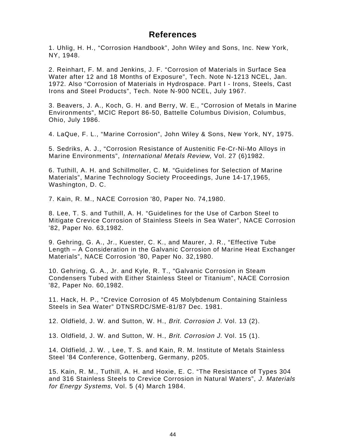### **References**

1. Uhlig, H. H., "Corrosion Handbook", John Wiley and Sons, Inc. New York, NY, 1948.

2. Reinhart, F. M. and Jenkins, J. F. "Corrosion of Materials in Surface Sea Water after 12 and 18 Months of Exposure", Tech. Note N-1213 NCEL, Jan. 1972. Also "Corrosion of Materials in Hydrospace. Part I - Irons, Steels, Cast Irons and Steel Products", Tech. Note N-900 NCEL, July 1967.

3. Beavers, J. A., Koch, G. H. and Berry, W. E., "Corrosion of Metals in Marine Environments", MCIC Report 86-50, Battelle Columbus Division, Columbus, Ohio, July 1986.

4. LaQue, F. L., "Marine Corrosion", John Wiley & Sons, New York, NY, 1975.

5. Sedriks, A. J., "Corrosion Resistance of Austenitic Fe-Cr-Ni-Mo Alloys in Marine Environments", International Metals Review, Vol. 27 (6)1982.

6. Tuthill, A. H. and Schillmoller, C. M. "Guidelines for Selection of Marine Materials", Marine Technology Society Proceedings, June 14-17,1965, Washington, D. C.

7. Kain, R. M., NACE Corrosion '80, Paper No. 74,1980.

8. Lee, T. S. and Tuthill, A. H. "Guidelines for the Use of Carbon Steel to Mitigate Crevice Corrosion of Stainless Steels in Sea Water", NACE Corrosion '82, Paper No. 63,1982.

9. Gehring, G. A., Jr., Kuester, C. K., and Maurer, J. R., "Effective Tube Length – A Consideration in the Galvanic Corrosion of Marine Heat Exchanger Materials", NACE Corrosion '80, Paper No. 32,1980.

10. Gehring, G. A., Jr. and Kyle, R. T., "Galvanic Corrosion in Steam Condensers Tubed with Either Stainless Steel or Titanium", NACE Corrosion '82, Paper No. 60,1982.

11. Hack, H. P., "Crevice Corrosion of 45 Molybdenum Containing Stainless Steels in Sea Water" DTNSRDC/SME-81/87 Dec. 1981.

12. Oldfield, J. W. and Sutton, W. H., Brit. Corrosion J. Vol. 13 (2).

13. Oldfield, J. W. and Sutton, W. H., Brit. Corrosion J. Vol. 15 (1).

14. Oldfield, J. W. , Lee, T. S. and Kain, R. M. Institute of Metals Stainless Steel '84 Conference, Gottenberg, Germany, p205.

15. Kain, R. M., Tuthill, A. H. and Hoxie, E. C. "The Resistance of Types 304 and 316 Stainless Steels to Crevice Corrosion in Natural Waters", J. Materials for Energy Systems, Vol. 5 (4) March 1984.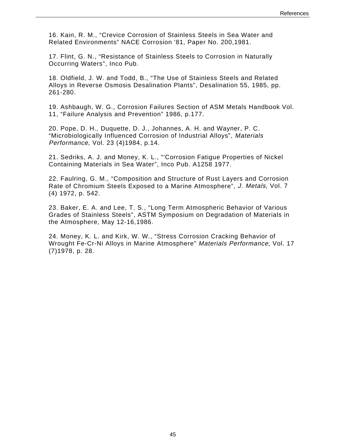16. Kain, R. M., "Crevice Corrosion of Stainless Steels in Sea Water and Related Environments" NACE Corrosion '81, Paper No. 200,1981.

17. Flint, G. N., "Resistance of Stainless Steels to Corrosion in Naturally Occurring Waters", Inco Pub.

18. Oldfield, J. W. and Todd, B., "The Use of Stainless Steels and Related Alloys in Reverse Osmosis Desalination Plants", Desalination 55, 1985, pp. 261-280.

19. Ashbaugh, W. G., Corrosion Failures Section of ASM Metals Handbook Vol. 11, "Failure Analysis and Prevention" 1986, p.177.

20. Pope, D. H., Duquette, D. J., Johannes, A. H. and Wayner, P. C. "Microbiologically Influenced Corrosion of Industrial Alloys", Materials Performance, Vol. 23 (4)1984, p.14.

21. Sedriks, A. J. and Money, K. L., "'Corrosion Fatigue Properties of Nickel Containing Materials in Sea Water", Inco Pub. A1258 1977.

22. Faulring, G. M., "Composition and Structure of Rust Layers and Corrosion Rate of Chromium Steels Exposed to a Marine Atmosphere", J. Metals, Vol. 7 (4) 1972, p. 542.

23. Baker, E. A. and Lee, T. S., "Long Term Atmospheric Behavior of Various Grades of Stainless Steels", ASTM Symposium on Degradation of Materials in the Atmosphere, May 12-16,1986.

24. Money, K. L. and Kirk, W. W., "Stress Corrosion Cracking Behavior of Wrought Fe-Cr-Ni Alloys in Marine Atmosphere" Materials Performance, Vol. 17 (7)1978, p. 28.